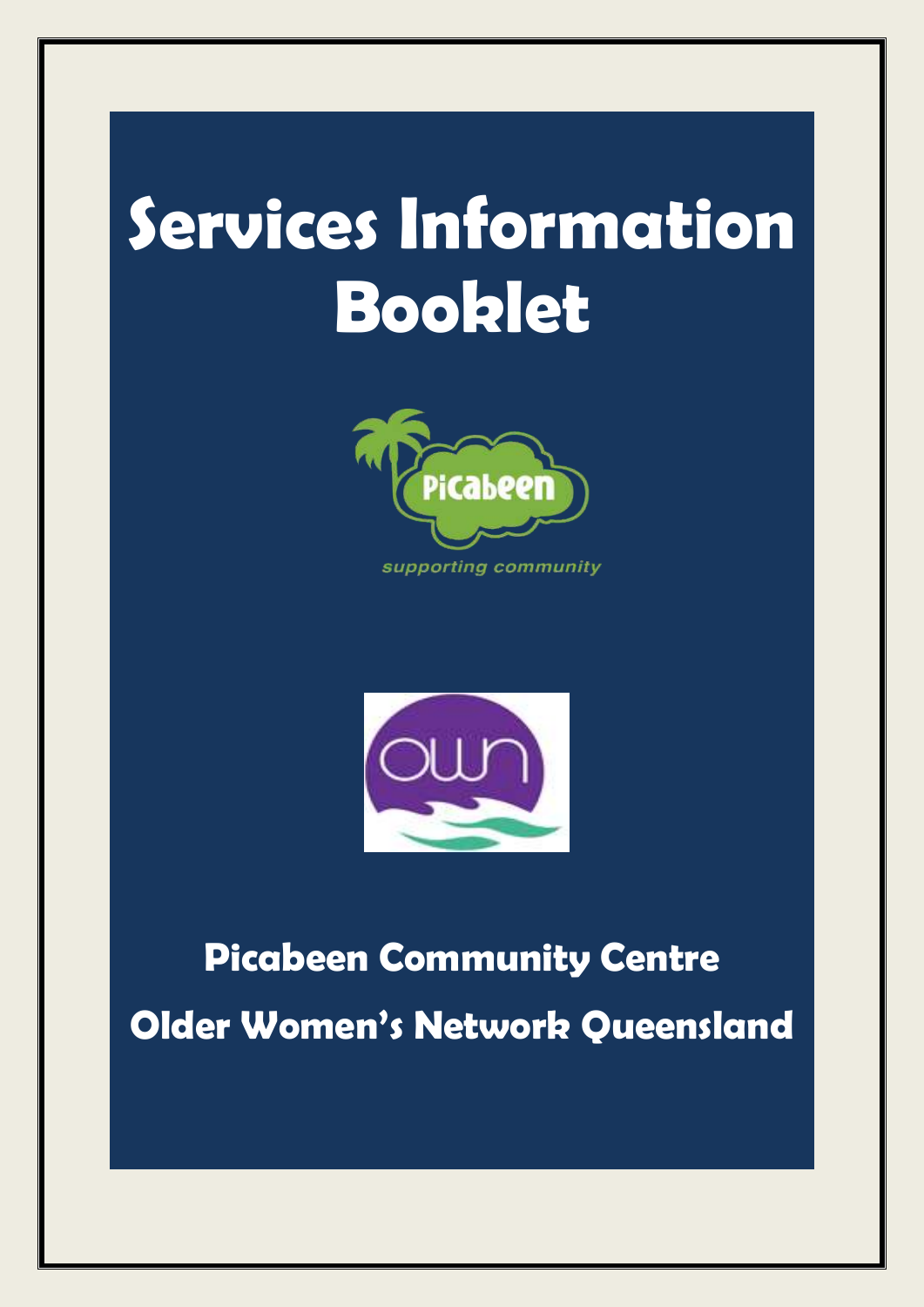# **Services Information Booklet**





### **Picabeen Community Centre Older Women's Network Queensland**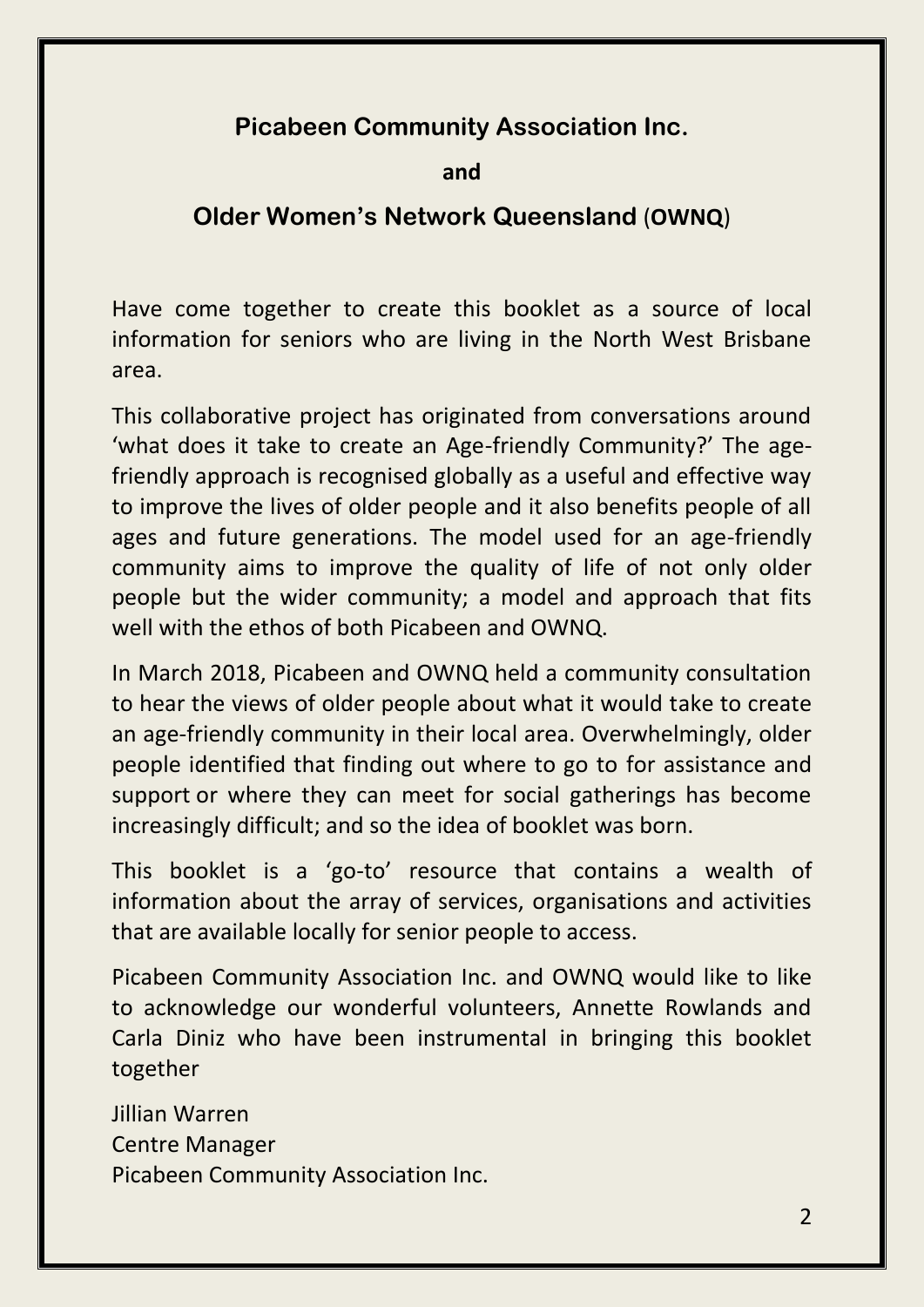### **Picabeen Community Association Inc.**

**and** 

### **Older Women's Network Queensland** (**OWNQ**)

Have come together to create this booklet as a source of local information for seniors who are living in the North West Brisbane area.

This collaborative project has originated from conversations around 'what does it take to create an Age-friendly Community?' The agefriendly approach is recognised globally as a useful and effective way to improve the lives of older people and it also benefits people of all ages and future generations. The model used for an age-friendly community aims to improve the quality of life of not only older people but the wider community; a model and approach that fits well with the ethos of both Picabeen and OWNQ.

In March 2018, Picabeen and OWNQ held a community consultation to hear the views of older people about what it would take to create an age-friendly community in their local area. Overwhelmingly, older people identified that finding out where to go to for assistance and support or where they can meet for social gatherings has become increasingly difficult; and so the idea of booklet was born.

This booklet is a 'go-to' resource that contains a wealth of information about the array of services, organisations and activities that are available locally for senior people to access.

Picabeen Community Association Inc. and OWNQ would like to like to acknowledge our wonderful volunteers, Annette Rowlands and Carla Diniz who have been instrumental in bringing this booklet together

Jillian Warren Centre Manager Picabeen Community Association Inc.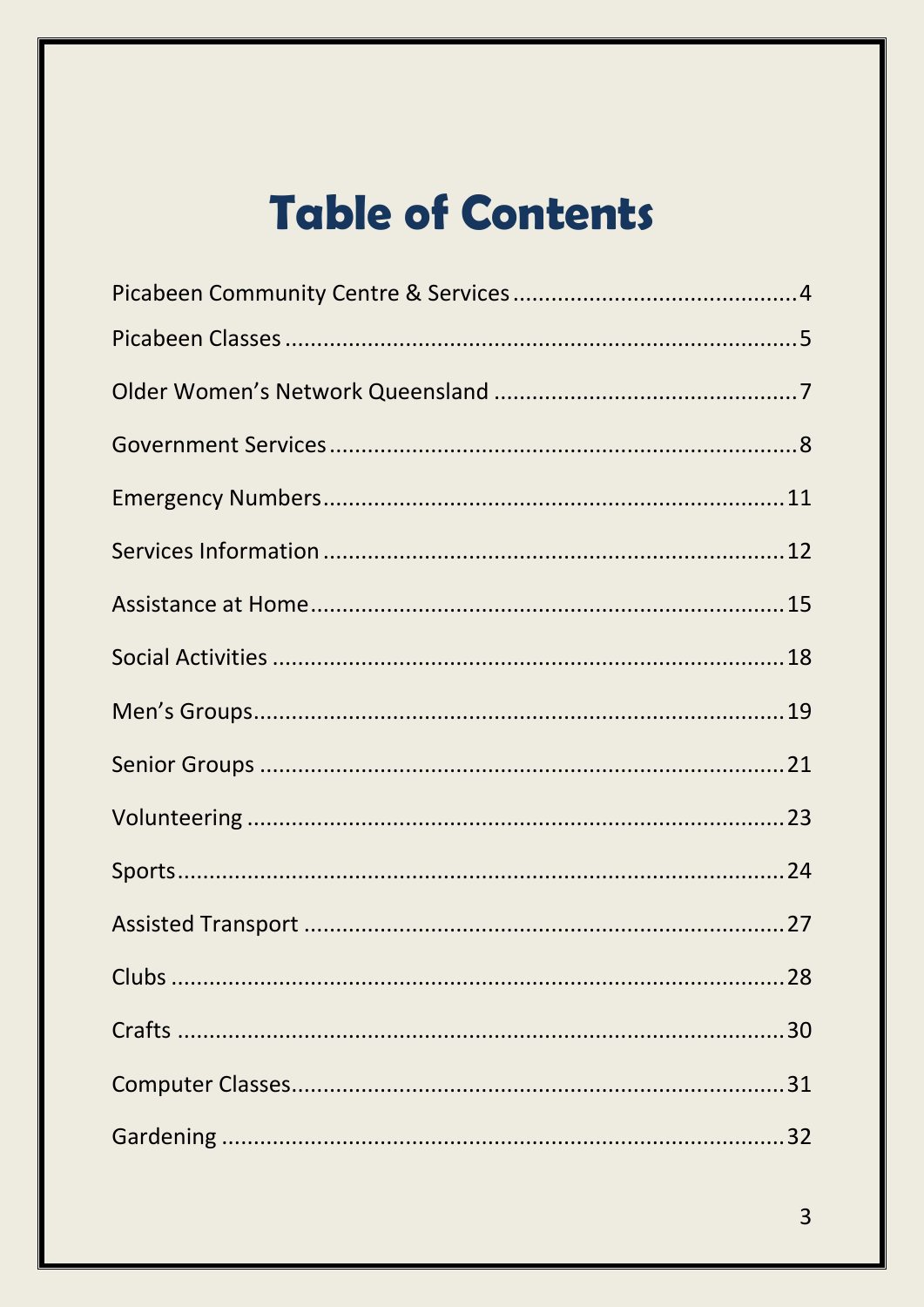### **Table of Contents**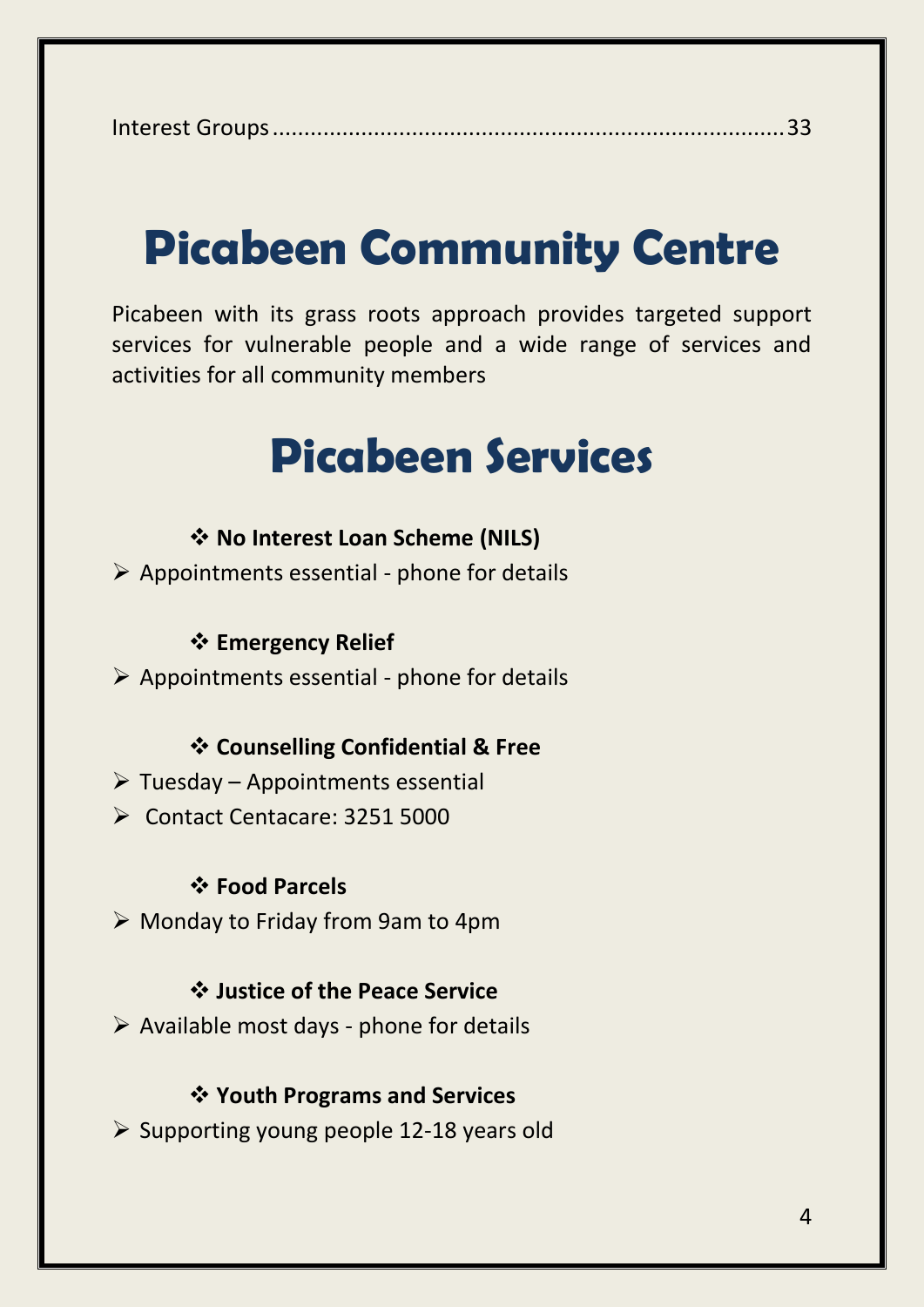Interest Groups.................................................................................33

### **Picabeen Community Centre**

Picabeen with its grass roots approach provides targeted support services for vulnerable people and a wide range of services and activities for all community members

### **Picabeen Services**

#### **No Interest Loan Scheme (NILS)**

 $\triangleright$  Appointments essential - phone for details

#### **Emergency Relief**

 $\triangleright$  Appointments essential - phone for details

#### **Counselling Confidential & Free**

- $\triangleright$  Tuesday Appointments essential
- Contact Centacare: 3251 5000

#### **Food Parcels**

Monday to Friday from 9am to 4pm

#### **Justice of the Peace Service**

 $\triangleright$  Available most days - phone for details

#### **Youth Programs and Services**

 $\geq$  Supporting young people 12-18 years old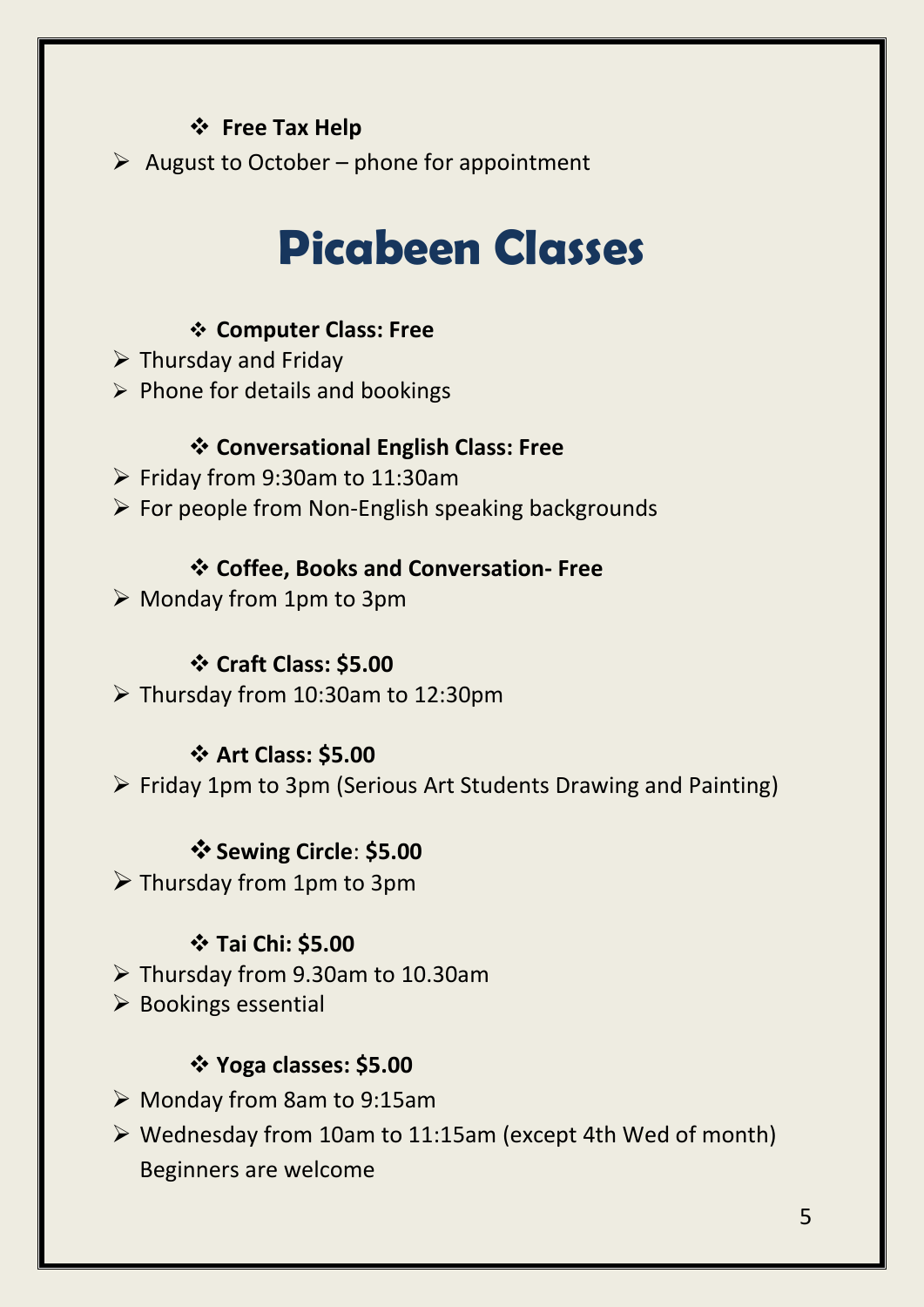### $\div$  Free Tax Help

 $\triangleright$  August to October – phone for appointment

### **Picabeen Classes**

### **Computer Class: Free**

- $\triangleright$  Thursday and Friday
- $\triangleright$  Phone for details and bookings

### **Conversational English Class: Free**

- Friday from 9:30am to 11:30am
- $\triangleright$  For people from Non-English speaking backgrounds

### **Coffee, Books and Conversation- Free**

 $\triangleright$  Monday from 1pm to 3pm

### **Craft Class: \$5.00**

 $\triangleright$  Thursday from 10:30am to 12:30pm

### **Art Class: \$5.00**

 $\triangleright$  Friday 1pm to 3pm (Serious Art Students Drawing and Painting)

### $\div$  Sewing Circle: \$5.00

 $\triangleright$  Thursday from 1pm to 3pm

### **Tai Chi: \$5.00**

- Thursday from 9.30am to 10.30am
- $\triangleright$  Bookings essential

### **Yoga classes: \$5.00**

- Monday from 8am to 9:15am
- $\triangleright$  Wednesday from 10am to 11:15am (except 4th Wed of month) Beginners are welcome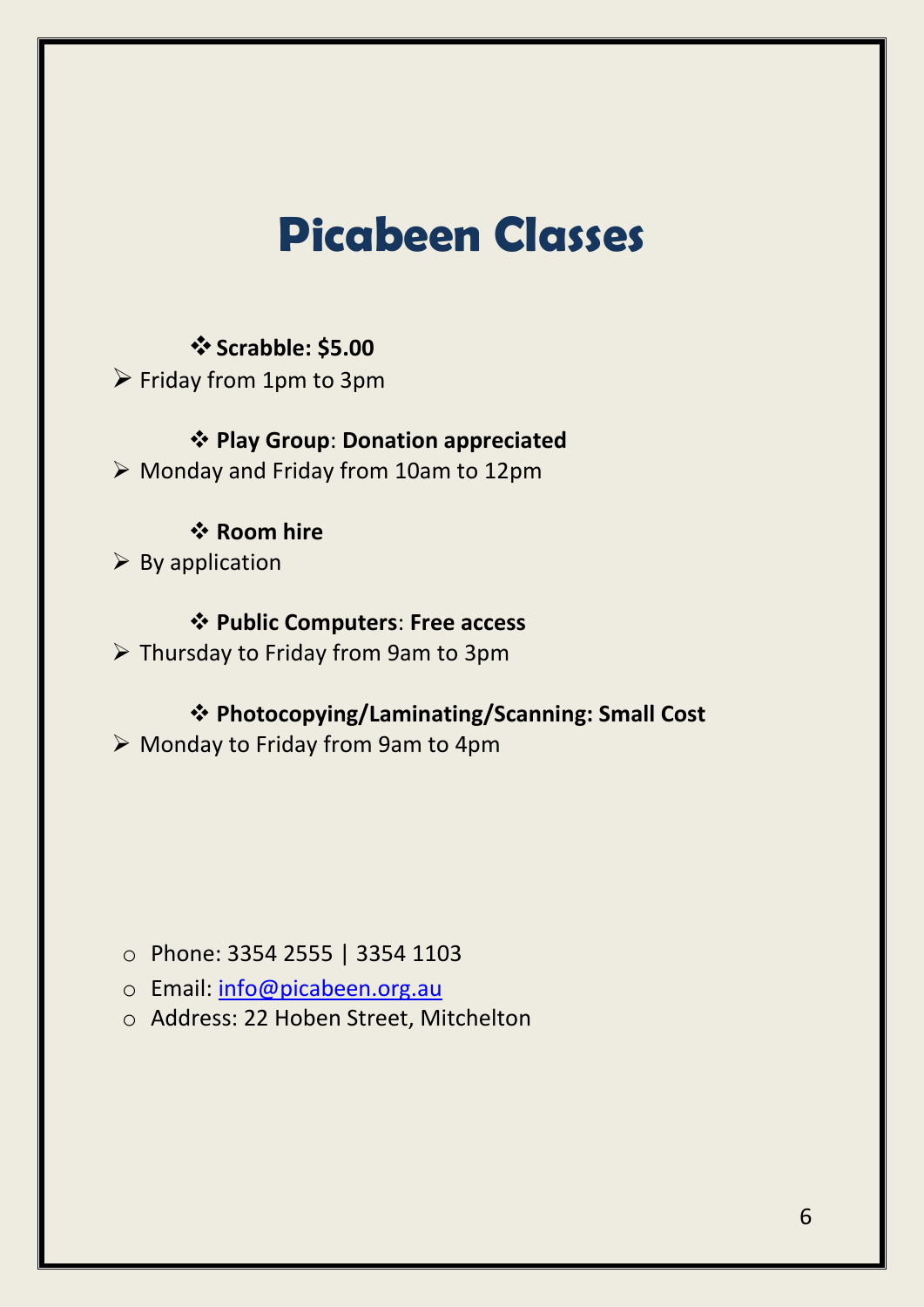### **Picabeen Classes**

#### $\div$  **Scrabble: \$5.00**

 $\triangleright$  Friday from 1pm to 3pm

### **Play Group**: **Donation appreciated**

Monday and Friday from 10am to 12pm

### *<b>* Room hire

 $\triangleright$  By application

### **Public Computers**: **Free access**

 $\triangleright$  Thursday to Friday from 9am to 3pm

### **Photocopying/Laminating/Scanning: Small Cost**

Monday to Friday from 9am to 4pm

### o Phone: 3354 2555 | 3354 1103

- o Email: [info@picabeen.org.au](mailto:info@picabeen.org.au)
- o Address: 22 Hoben Street, Mitchelton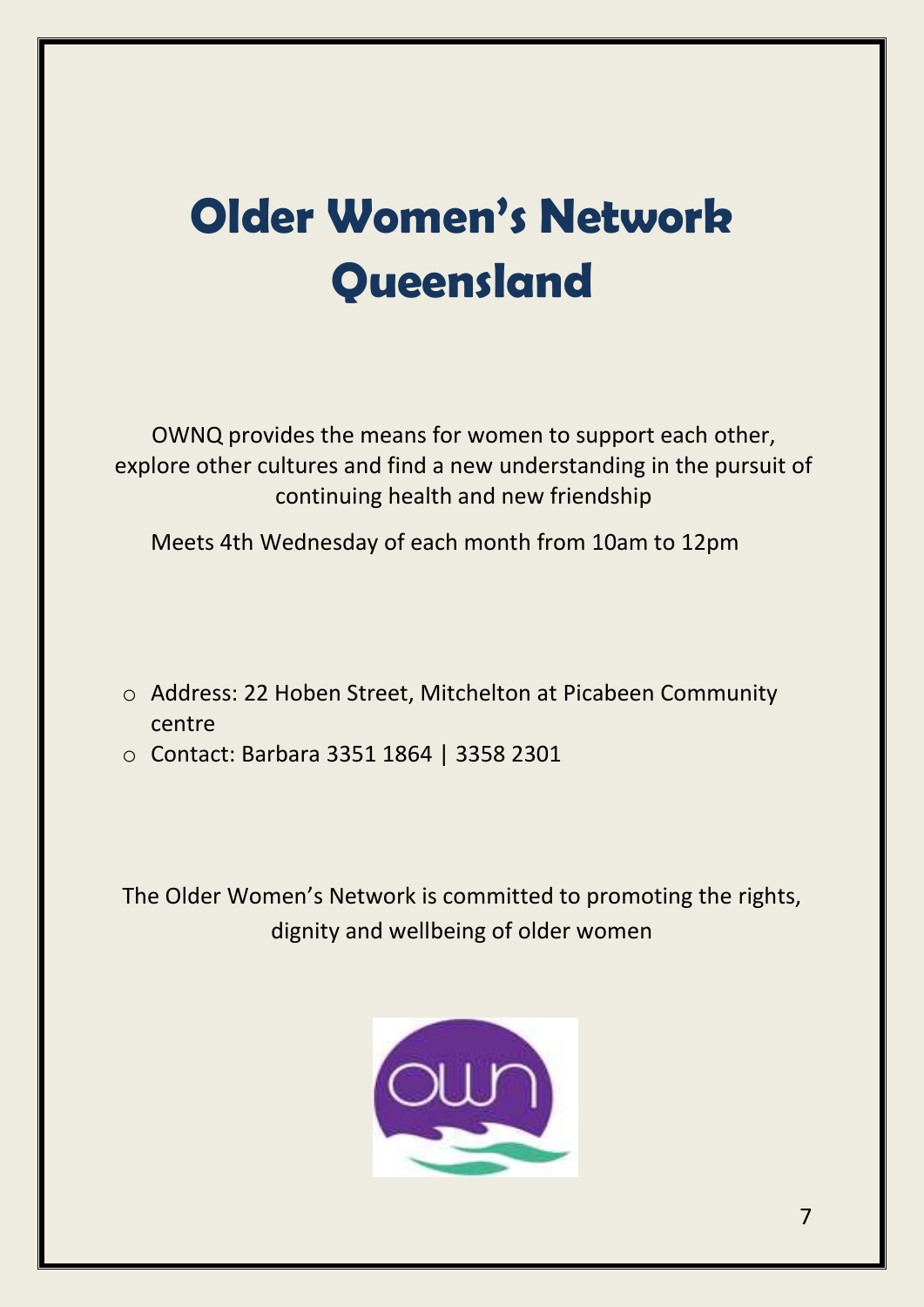# **Older Women's Network Queensland**

OWNQ provides the means for women to support each other, explore other cultures and find a new understanding in the pursuit of continuing health and new friendship

Meets 4th Wednesday of each month from 10am to 12pm

- o Address: 22 Hoben Street, Mitchelton at Picabeen Community centre
- o Contact: Barbara 3351 1864 | 3358 2301

The Older Women's Network is committed to promoting the rights, dignity and wellbeing of older women

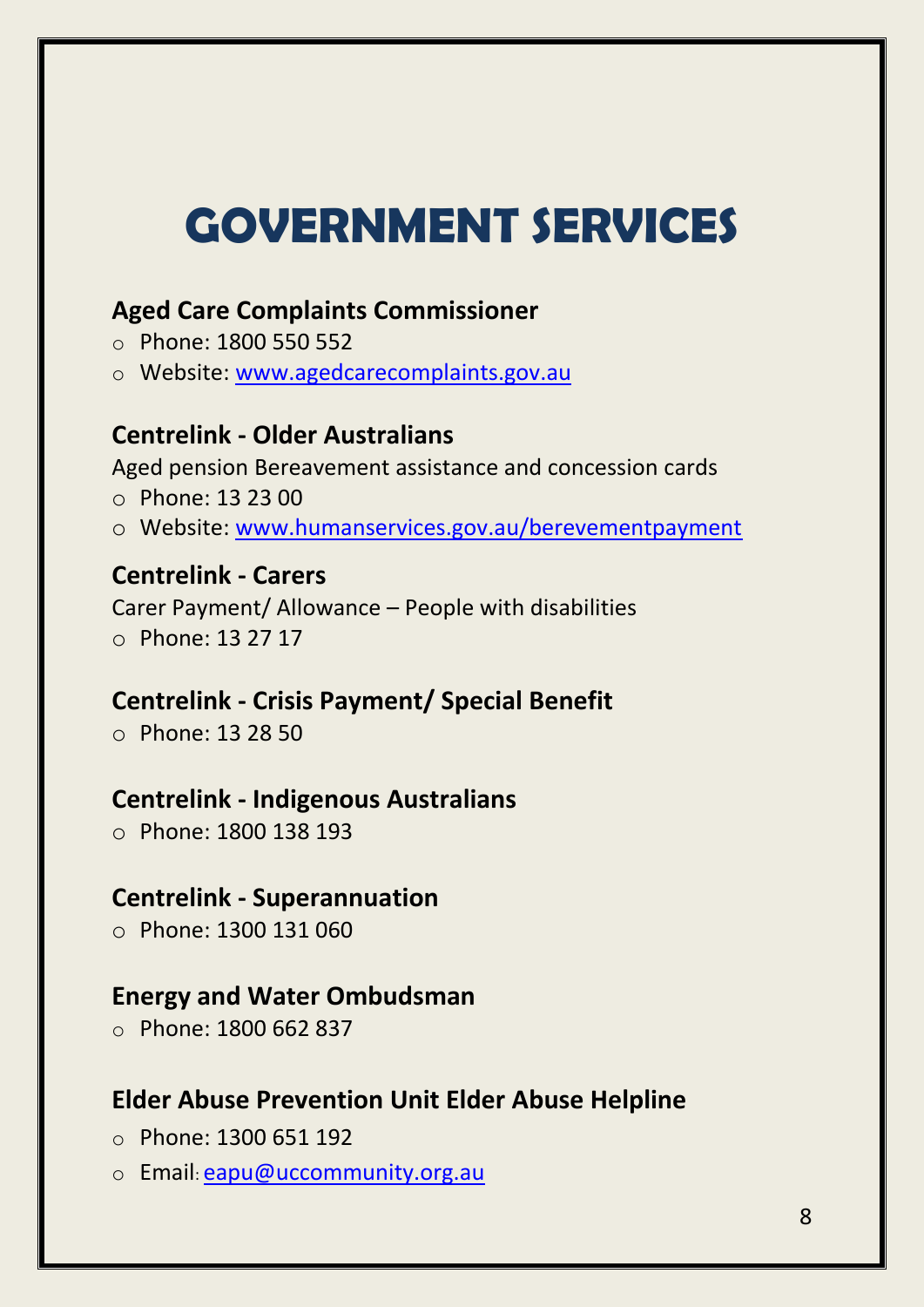# **GOVERNMENT SERVICES**

### **Aged Care Complaints Commissioner**

- o Phone: 1800 550 552
- o Website: www.agedcarecomplaints.gov.au

#### **Centrelink - Older Australians**

Aged pension Bereavement assistance and concession cards

- o Phone: 13 23 00
- o Website: [www.humanservices.gov.au/berevementpayment](http://www.humanservices.gov.au/berevementpayment)

#### **Centrelink - Carers**

Carer Payment/ Allowance – People with disabilities o Phone: 13 27 17

### **Centrelink - Crisis Payment/ Special Benefit**

o Phone: 13 28 50

### **Centrelink - Indigenous Australians**

o Phone: 1800 138 193

#### **Centrelink - Superannuation**

o Phone: 1300 131 060

#### **Energy and Water Ombudsman**

o Phone: 1800 662 837

### **Elder Abuse Prevention Unit Elder Abuse Helpline**

- o Phone: 1300 651 192
- o Email: [eapu@uccommunity.org.au](mailto:eapu@uccommunity.org.au)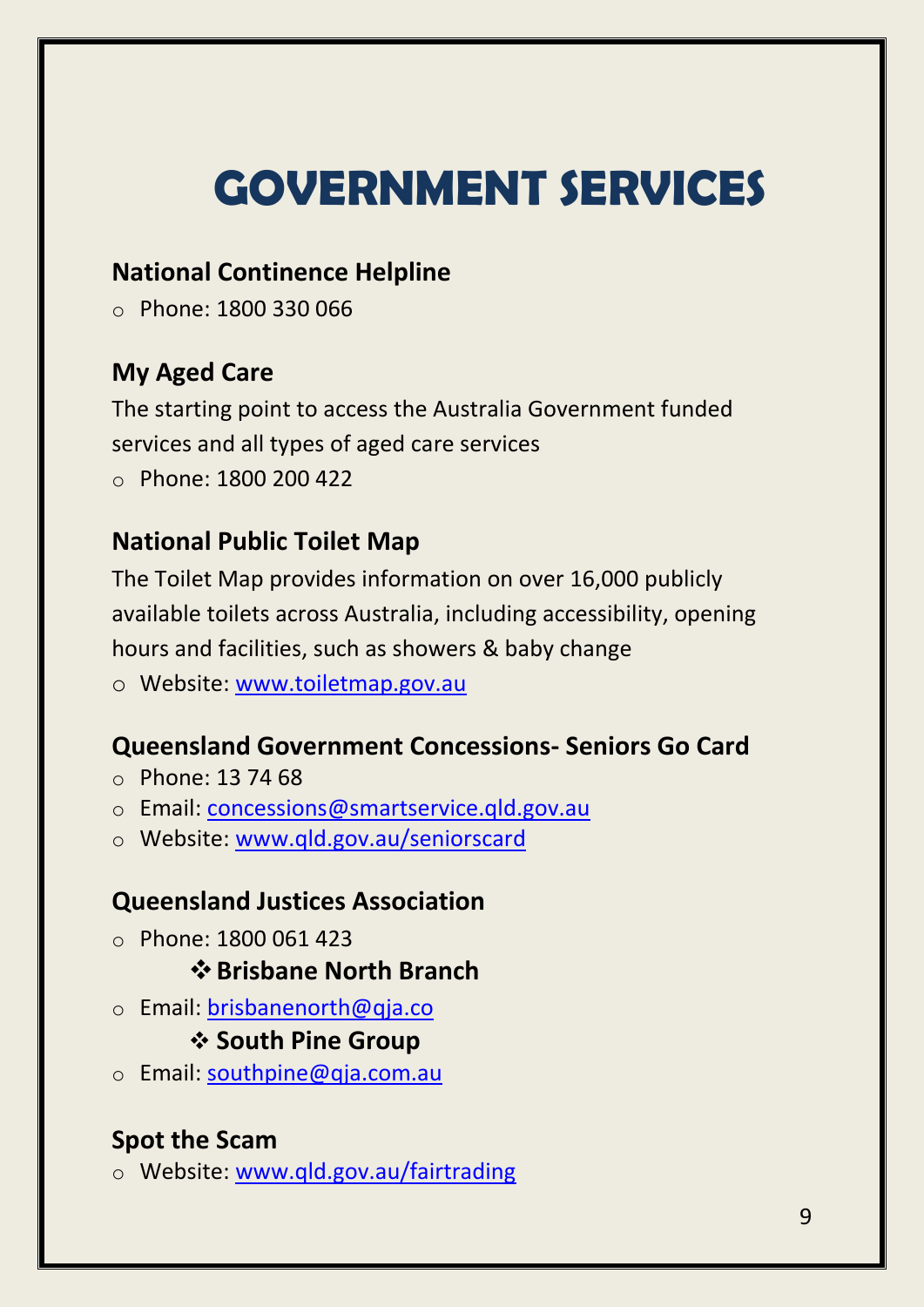# **GOVERNMENT SERVICES**

### **National Continence Helpline**

o Phone: 1800 330 066

### **My Aged Care**

The starting point to access the Australia Government funded services and all types of aged care services o Phone: 1800 200 422

### **National Public Toilet Map**

The Toilet Map provides information on over 16,000 publicly available toilets across Australia, including accessibility, opening hours and facilities, such as showers & baby change

o Website: [www.toiletmap.gov.au](http://www.toiletmap.gov.au/)

### **Queensland Government Concessions- Seniors Go Card**

- o Phone: 13 74 68
- o Email: [concessions@smartservice.qld.gov.au](mailto:convessions@smartservice.qld.gov.au)
- o Website: [www.qld.gov.au/seniorscard](http://www.qld.gov.au/seniorscard)

### **Queensland Justices Association**

o Phone: 1800 061 423

### **Brisbane North Branch**

o Email: [brisbanenorth@qja.co](mailto:brisbanenorth@qja.co)

### **❖ South Pine Group**

o Email: [southpine@qja.com.au](mailto:southpine@qja.com.au)

### **Spot the Scam**

o Website: [www.qld.gov.au/fairtrading](http://www.qld.gov.au/fairtrading)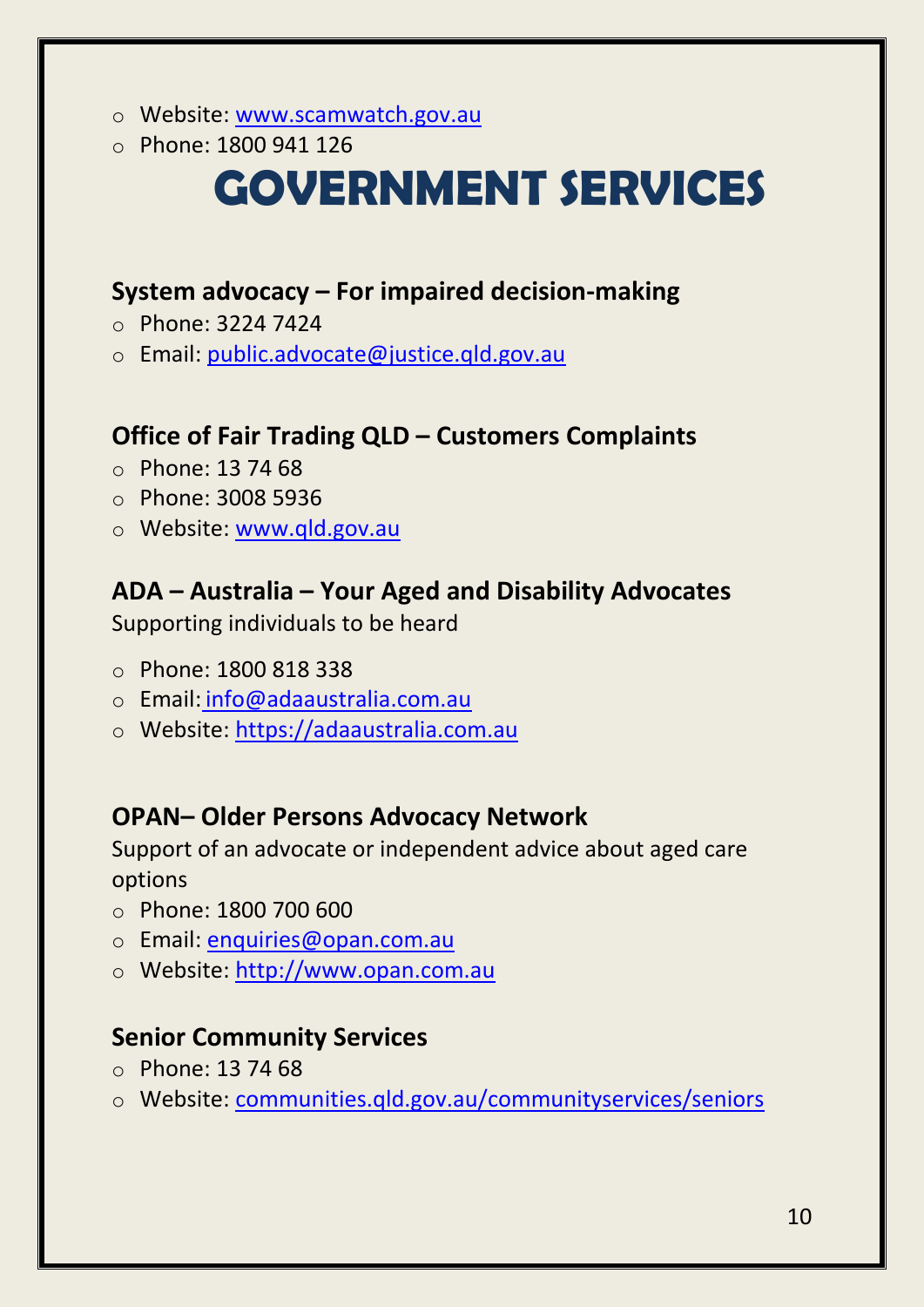- o Website: [www.scamwatch.gov.au](http://www.scamwatch.gov.au/)
- o Phone: 1800 941 126

### **GOVERNMENT SERVICES**

### **System advocacy – For impaired decision-making**

- o Phone: 3224 7424
- o Email: [public.advocate@justice.qld.gov.au](mailto:public.advocate@justice.qld.gov.au)

### **Office of Fair Trading QLD – Customers Complaints**

- $\circ$  Phone: 13 74 68
- o Phone: 3008 5936
- o Website: [www.qld.gov.au](http://www.qld.gov.au/seniorscard)

### **ADA – Australia – Your Aged and Disability Advocates**

Supporting individuals to be heard

- o Phone: 1800 818 338
- o Email: [info@adaaustralia.com.au](mailto:info@adaaustralia.com.au)
- o Website: https://adaaustralia.com.au

### **OPAN– Older Persons Advocacy Network**

Support of an advocate or independent advice about aged care options

- o Phone: [1800 700 600](tel:1800700600)
- o Email: [enquiries@opan.com.au](mailto:%20enquiries@opan.com.au)
- o Website: http://www.opan.com.au

### **Senior Community Services**

- $\circ$  Phone: [13 74 68](tel:1800700600)
- o Website: communities.qld.gov.au/communityservices/seniors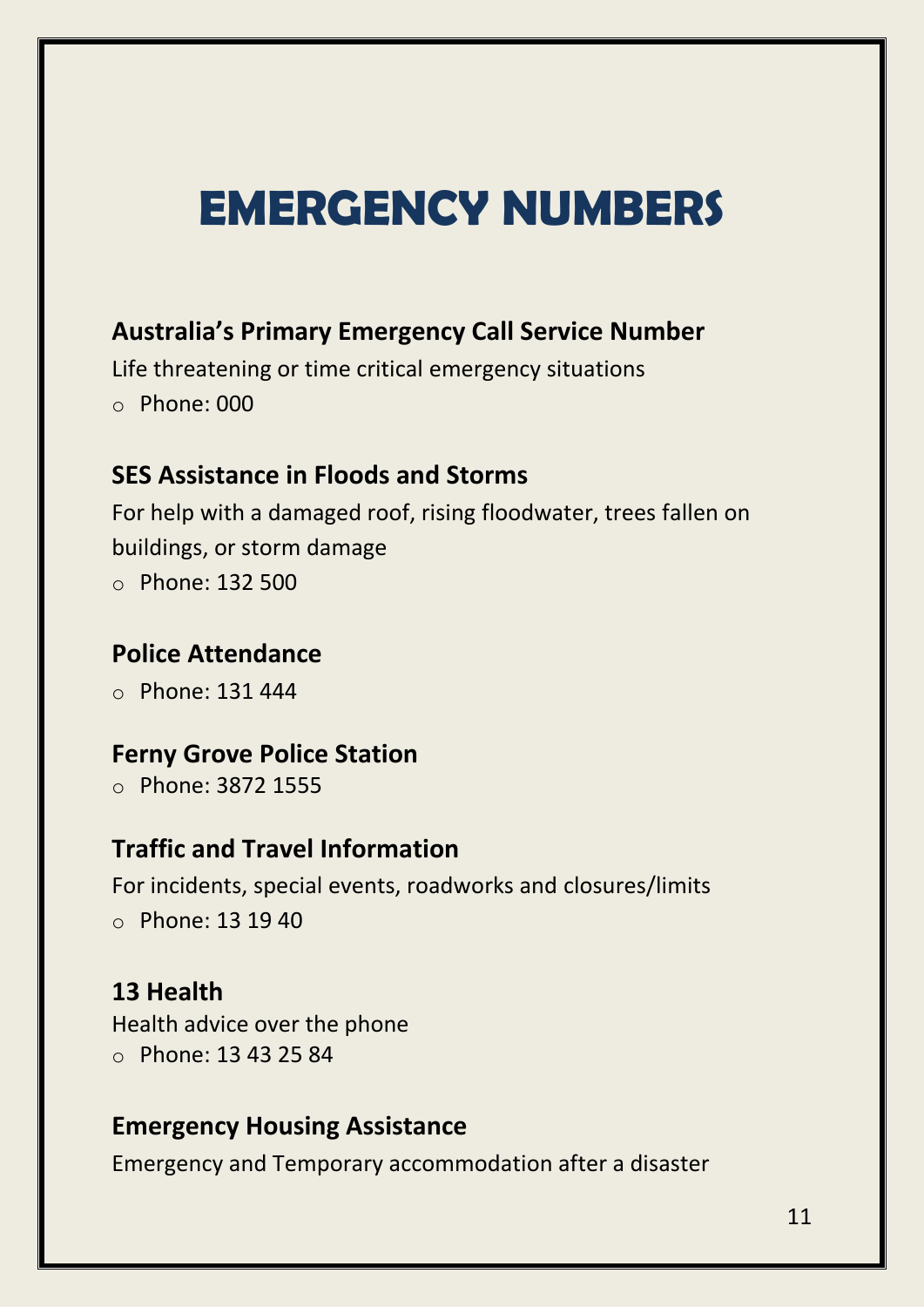### **EMERGENCY NUMBERS**

### **Australia's Primary Emergency Call Service Number**

Life threatening or time critical emergency situations  $\circ$  Phone: 000

### **SES Assistance in Floods and Storms**

For help with a damaged roof, rising floodwater, trees fallen on buildings, or storm damage

o Phone: 132 500

#### **Police Attendance**

o Phone: 131 444

### **Ferny Grove Police Station**

o [Phone:](https://www.google.com.au/search?site=async/lcl_akp&q=ferny+grove+police+station+phone&sa=X&ved=2ahUKEwjEuIWppKzbAhVIfLwKHQqBC4QQ6BMwBHoECAEQGA) 3872 1555

#### **Traffic and Travel Information**

For incidents, special events, roadworks and closures/limits o Phone: 13 19 40

#### **13 Health**

Health advice over the phone o Phone: 13 43 25 84

#### **Emergency Housing Assistance**

Emergency and Temporary accommodation after a disaster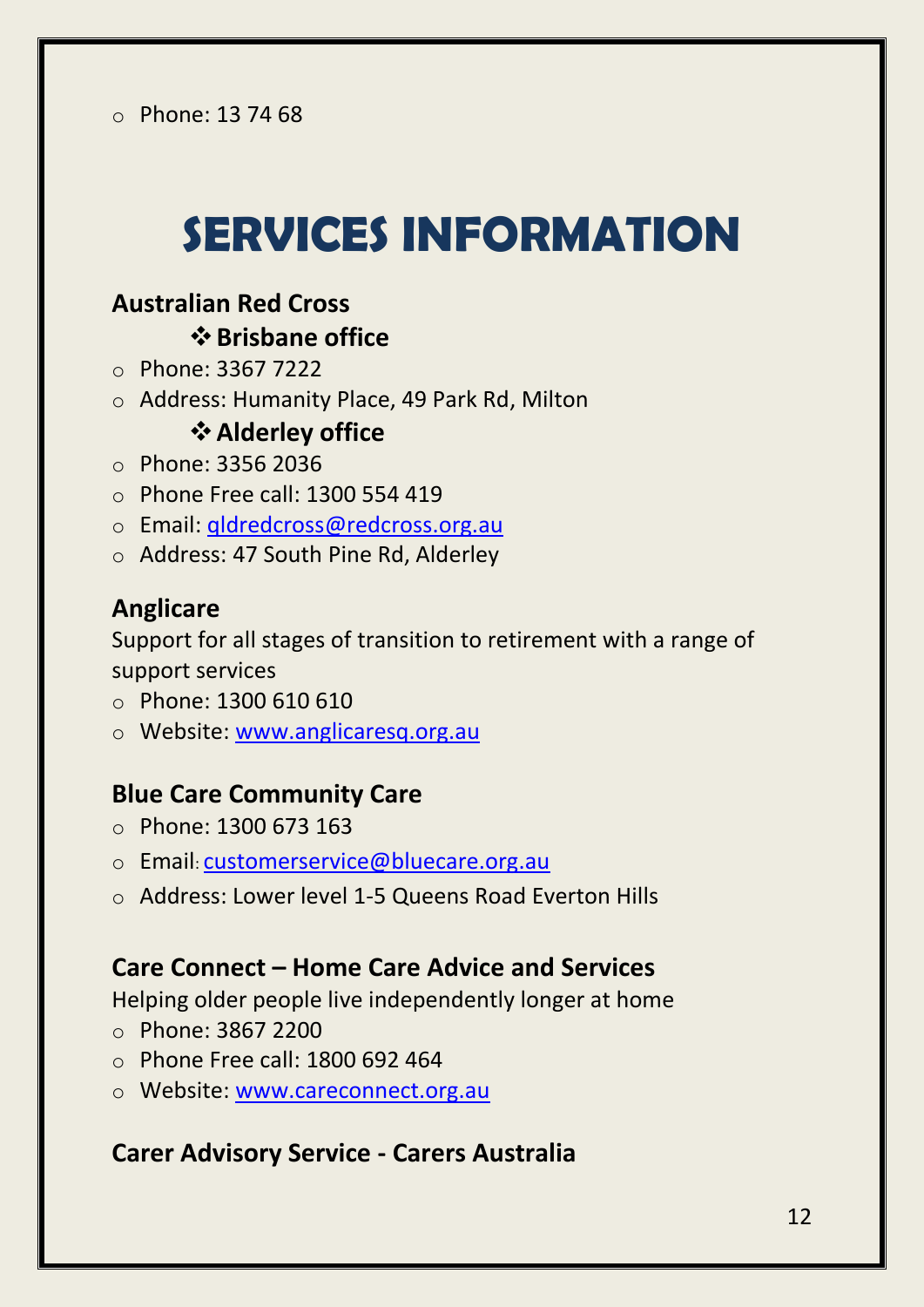# **SERVICES INFORMATION**

### **Australian Red Cross Brisbane office**

- o Phone: 3367 7222
- o [Address:](https://www.google.com.au/search?q=australian+red+cross+alderley+address&stick=H4sIAAAAAAAAAOPgE-LWT9c3LM-LN7PIztOSzU620s_JT04syczPgzOsElNSilKLiwEHHgakLgAAAA&sa=X&ved=0ahUKEwiBz4KNlazbAhUGe7wKHdsUCpoQ6BMInQEwEA) Humanity Place, 49 Park Rd, Milton

### **Alderley office**

- o Phone: 3356 2036
- $\circ$  Phone Free call: 1300 554 419
- o Email: [qldredcross@redcross.org.au](mailto:qldredcross@redcross.org.au)
- o [Address:](https://www.google.com.au/search?q=australian+red+cross+alderley+address&stick=H4sIAAAAAAAAAOPgE-LWT9c3LM-LN7PIztOSzU620s_JT04syczPgzOsElNSilKLiwEHHgakLgAAAA&sa=X&ved=0ahUKEwiBz4KNlazbAhUGe7wKHdsUCpoQ6BMInQEwEA) 47 South Pine Rd, Alderley

### **Anglicare**

Support for all stages of transition to retirement with a range of support services

- o Phone: 1300 610 610
- o Website: www.anglicaresq.org.au

### **Blue Care Community Care**

- o Phone: 1300 673 163
- o Email: [customerservice@bluecare.org.au](mailto:customerservice@bluecare.org.au)
- o Address: Lower level 1-5 Queens Road Everton Hills

### **Care Connect – Home Care Advice and Services**

Helping older people live independently longer at home

- o Phone: 3867 2200
- o Phone Free call: 1800 692 464
- o Website: www.careconnect.org.au

#### **Carer Advisory Service - Carers Australia**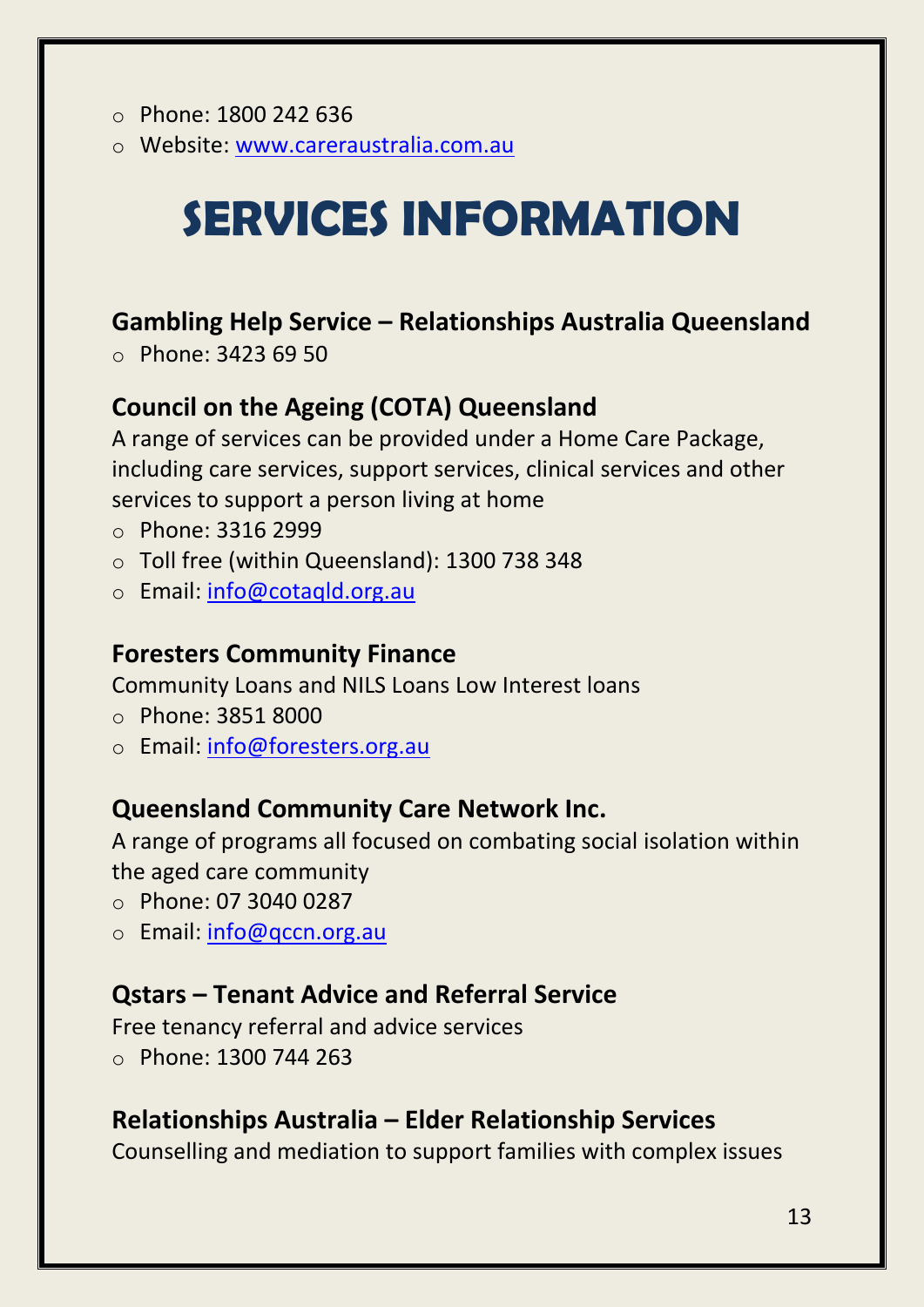- o Phone: 1800 242 636
- o Website: [www.careraustralia.com.au](http://www.careraustralia.com.au/)

# **SERVICES INFORMATION**

### **Gambling Help Service – Relationships Australia Queensland**

o Phone: 3423 69 50

### **Council on the Ageing (COTA) Queensland**

A range of services can be provided under a Home Care Package, including care services, support services, clinical services and other services to support a person living at home

- o Phone: 3316 2999
- o Toll free (within Queensland): 1300 738 348
- o Email: [info@cotaqld.org.au](mailto:info@cotaqld.org.au)

### **Foresters Community Finance**

Community Loans and NILS Loans Low Interest loans

- o Phone: 3851 8000
- o Email: [info@foresters.org.au](mailto:info@foresters.org.au)

### **Queensland Community Care Network Inc.**

A range of programs all focused on combating social isolation within the aged care community

- o Phone: 07 3040 0287
- o Email: [info@qccn.org.au](mailto:info@qccn.org.au)

### **Qstars – Tenant Advice and Referral Service**

Free tenancy referral and advice services o Phone: 1300 744 263

### **Relationships Australia – Elder Relationship Services**

Counselling and mediation to support families with complex issues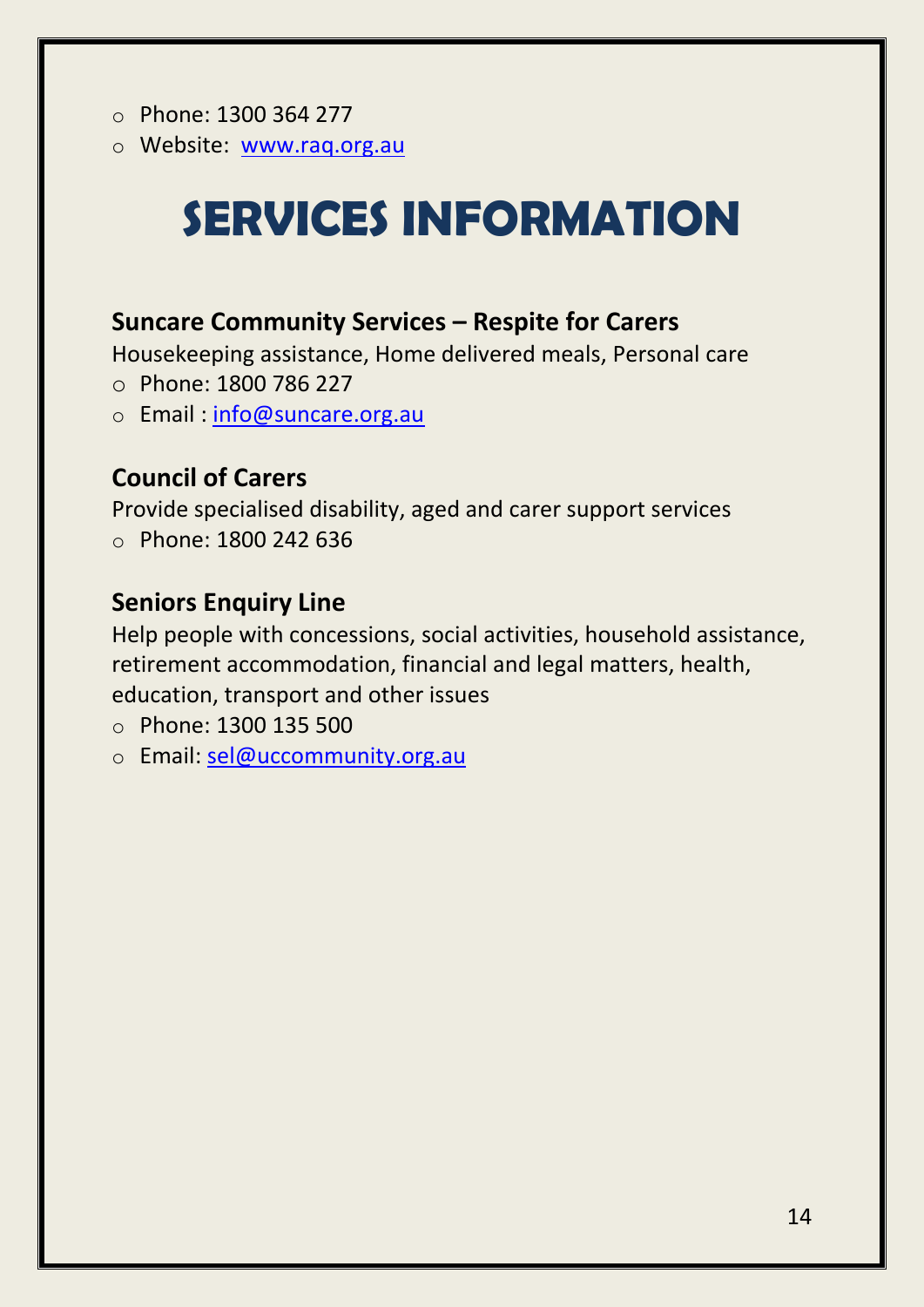- o Phone: 1300 364 277
- o Website: [www.raq.org.au](http://www.raq.org.au/)

# **SERVICES INFORMATION**

### **Suncare Community Services – Respite for Carers**

Housekeeping assistance, Home delivered meals, Personal care

- o Phone: 1800 786 227
- o Email : [info@suncare.org.au](mailto:info@suncare.org.au)

### **Council of Carers**

Provide specialised disability, aged and carer support services o Phone: 1800 242 636

### **Seniors Enquiry Line**

Help people with concessions, social activities, household assistance, retirement accommodation, financial and legal matters, health, education, transport and other issues

- o Phone: 1300 135 500
- o Email: sel@uccommunity.org.au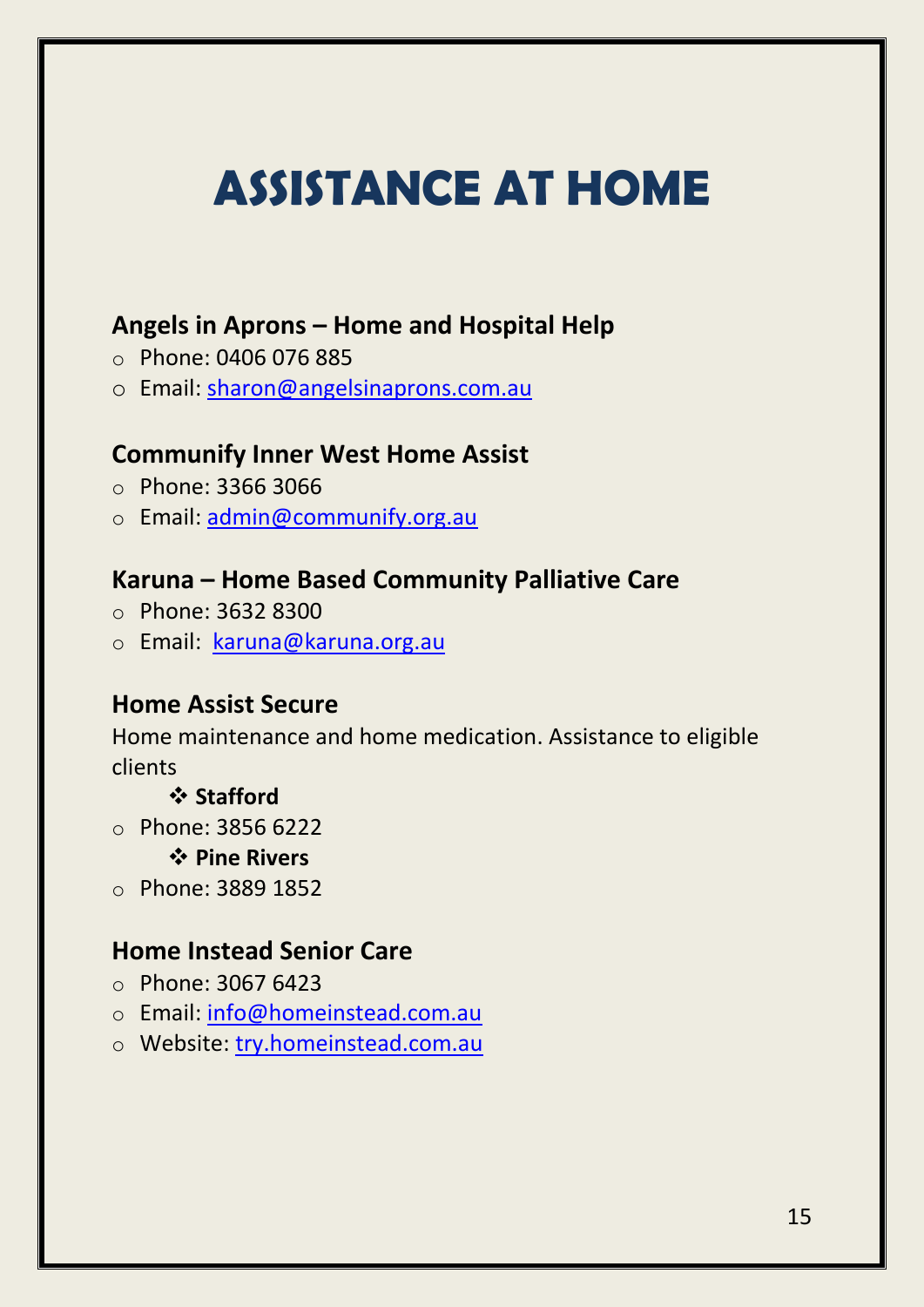# **ASSISTANCE AT HOME**

### **Angels in Aprons – Home and Hospital Help**

- o Phone: 0406 076 885
- o Email: [sharon@angelsinaprons.com.au](mailto:mbrsesaranahillsGL@moretonbay.qld.gov.au)

### **Communify Inner West Home Assist**

- o Phone: 3366 3066
- o Email: [admin@communify.org.au](mailto:admin@communify.org.au)

### **Karuna – Home Based Community Palliative Care**

- o Phone: 3632 8300
- o Email: [karuna@karuna.org.au](mailto:karuna@karuna.org.au)

### **Home Assist Secure**

Home maintenance and home medication. Assistance to eligible clients

#### **Stafford**

- o Phone: 3856 6222
	- **Pine Rivers**
- o Phone: 3889 1852

### **Home Instead Senior Care**

- o Phone: 3067 6423
- o Email: [info@homeinstead.com.au](mailto:info@homeinstead.com.au)
- o Website: try.homeinstead.com.au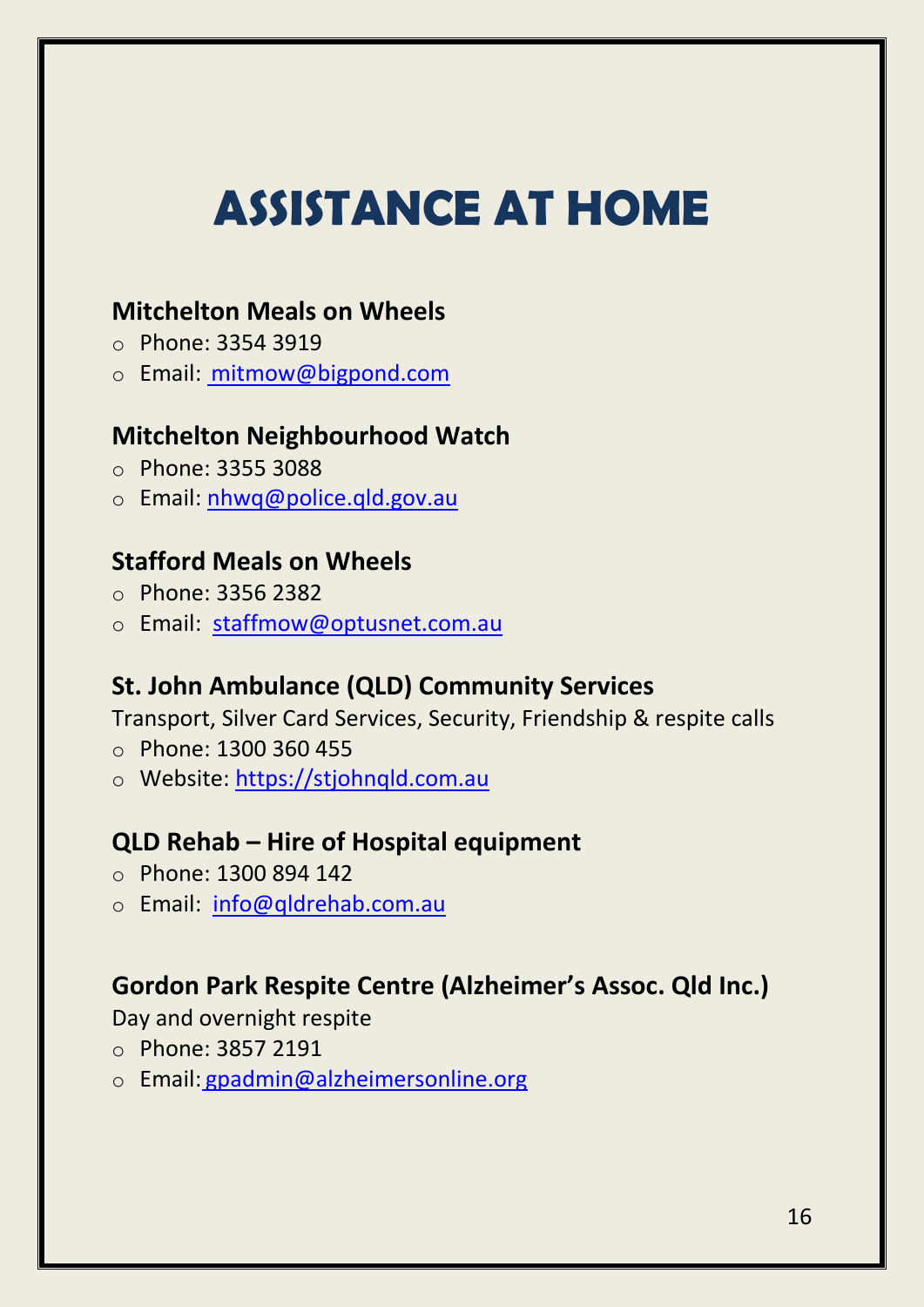# **ASSISTANCE AT HOME**

### **Mitchelton Meals on Wheels**

- o Phone: 3354 3919
- o Email: [mitmow@bigpond.com](mailto:mitmow@bigpond.com)

### **Mitchelton Neighbourhood Watch**

- o Phone: 3355 3088
- o Email: nhwq@police.qld.gov.au

### **Stafford Meals on Wheels**

- o Phone: 3356 2382
- o Email: [staffmow@optusnet.com.](mailto:staffmow@optusnet.com)au

### **St. John Ambulance (QLD) Community Services**

Transport, Silver Card Services, Security, Friendship & respite calls

- o Phone: 1300 360 455
- o Website: https://stjohnqld.com.au

### **QLD Rehab – Hire of Hospital equipment**

- o Phone: 1300 894 142
- o Email: [info@qldrehab.com.au](mailto:info@qldrehab.com.au)

### **Gordon Park Respite Centre (Alzheimer's Assoc. Qld Inc.)**

Day and overnight respite

- o Phone: 3857 2191
- o Email: [gpadmin@alzheimersonline.org](mailto:gpadmin@alzheimersonline.org)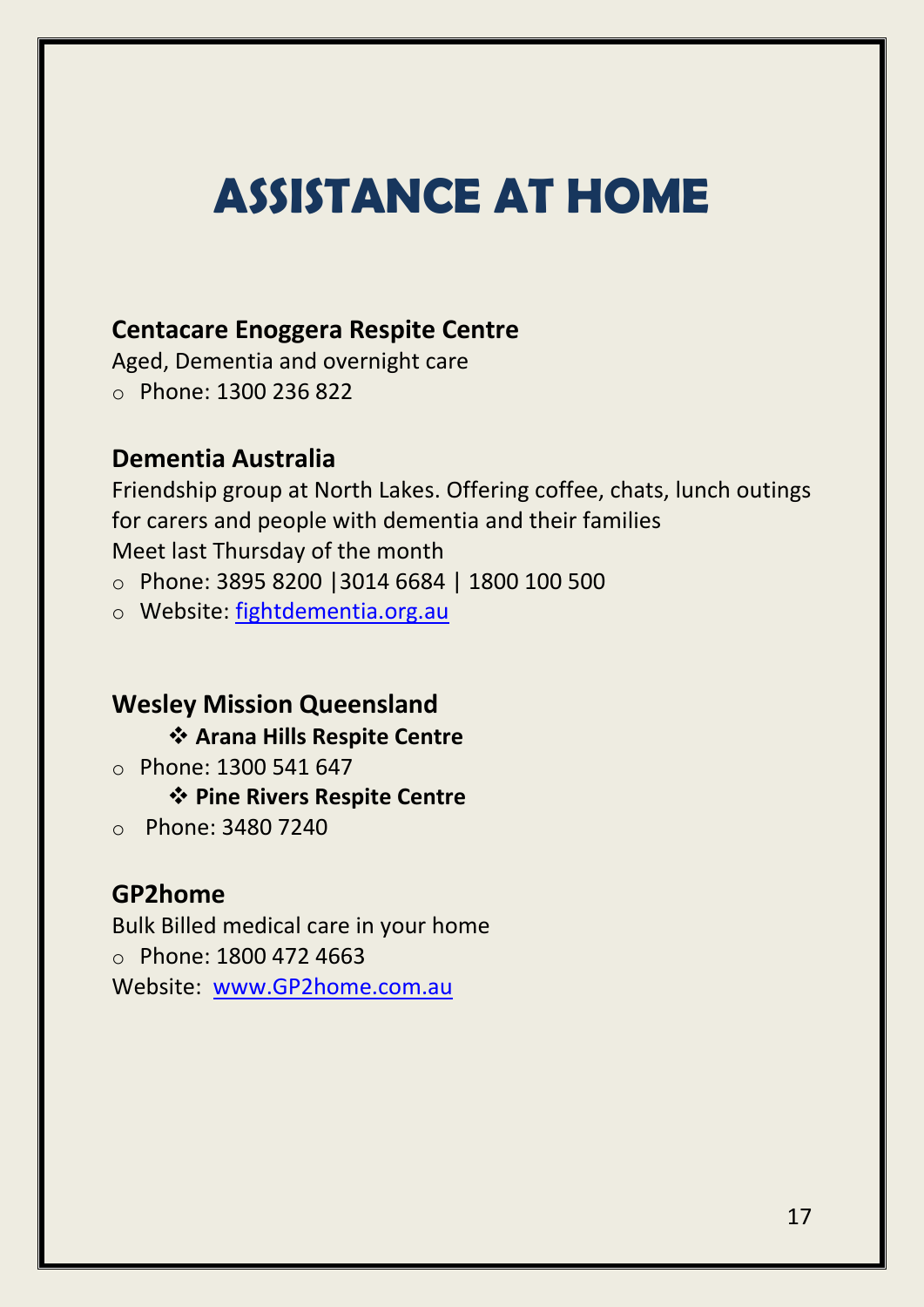### **ASSISTANCE AT HOME**

### **Centacare Enoggera Respite Centre**

Aged, Dementia and overnight care o Phone: 1300 236 822

### **Dementia Australia**

Friendship group at North Lakes. Offering coffee, chats, lunch outings for carers and people with dementia and their families Meet last Thursday of the month

o Phone: 3895 8200 |3014 6684 | 1800 100 500

o Website: fightdementia.org.au

### **Wesley Mission Queensland**

### **Arana Hills Respite Centre**

 $\circ$  Phone: 1300 541 647

### **Pine Rivers Respite Centre**

o Phone: 3480 7240

### **GP2home**

Bulk Billed medical care in your home

o Phone: 1800 472 4663

Website: [www.GP2home.com.au](http://www.gp2home.com.au/)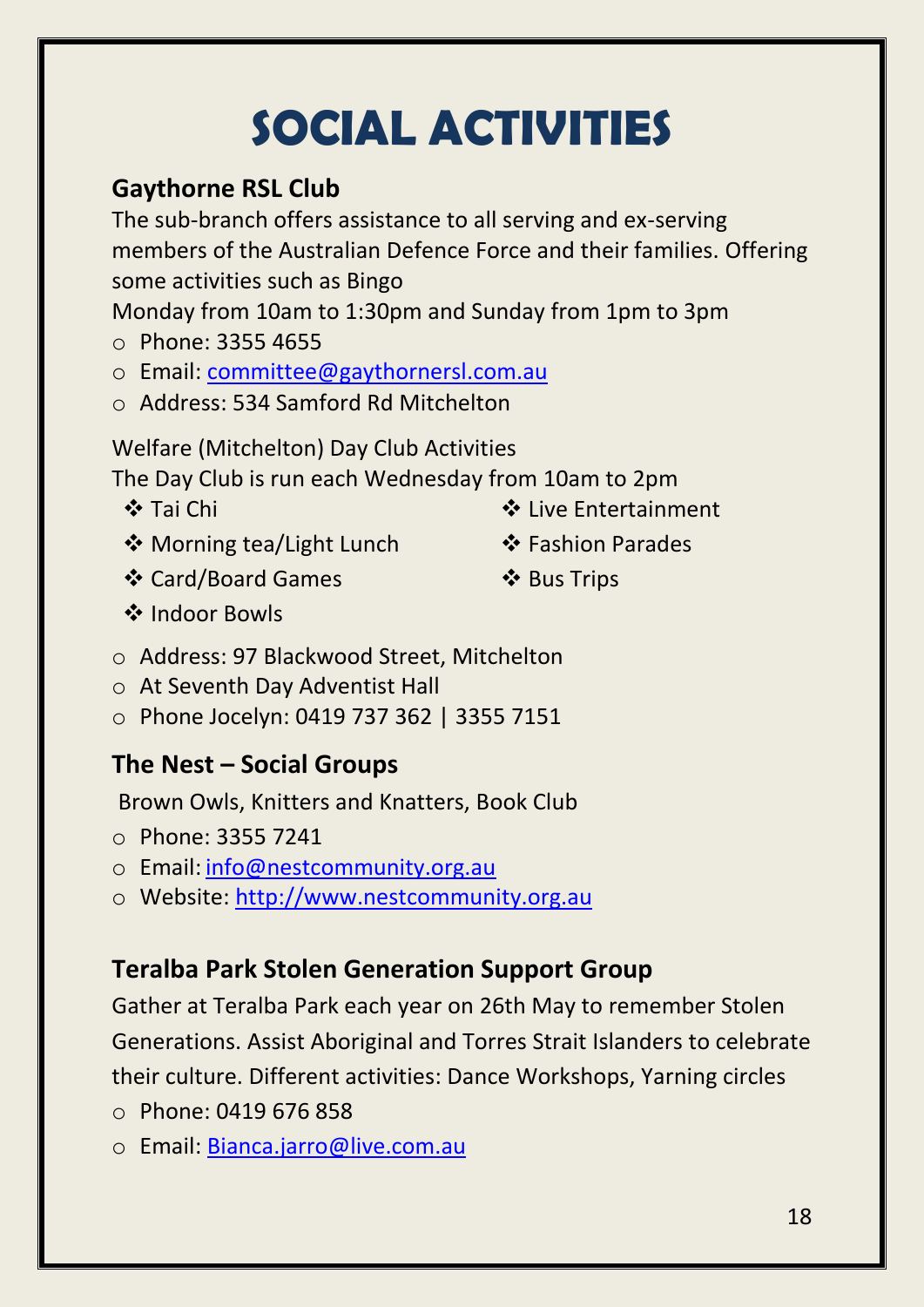# **SOCIAL ACTIVITIES**

### **Gaythorne RSL Club**

The sub-branch offers assistance to all serving and ex-serving members of the Australian Defence Force and their families. Offering some activities such as Bingo

Monday from 10am to 1:30pm and Sunday from 1pm to 3pm

- o Phone: 3355 4655
- o Email: [committee@gaythornersl.com.au](mailto:committee@gaythornersl.com.au)
- o Address: 534 Samford Rd Mitchelton

Welfare (Mitchelton) Day Club Activities

The Day Club is run each Wednesday from 10am to 2pm

- **❖ Tai Chi**  $\triangle$  Live Entertainment
- ❖ Morning tea/Light Lunch
- 
- Fashion Parades

Card/Board Games

❖ Bus Trips

- ❖ Indoor Bowls
- o Address: 97 Blackwood Street, Mitchelton
- o At Seventh Day Adventist Hall
- o Phone Jocelyn: 0419 737 362 | 3355 7151

### **The Nest – Social Groups**

Brown Owls, Knitters and Knatters, Book Club

- o Phone: 3355 7241
- o Email: [info@nestcommunity.org.au](mailto:info@nestcommunity.org.au)
- o Website: [http://www.nestcommunity.org.au](http://www.nestcommunity.org.au/)

### **Teralba Park Stolen Generation Support Group**

Gather at Teralba Park each year on 26th May to remember Stolen Generations. Assist Aboriginal and Torres Strait Islanders to celebrate their culture. Different activities: Dance Workshops, Yarning circles

- o Phone: 0419 676 858
- o Email: [Bianca.jarro@live.com.au](mailto:Bianca.jarro@live.com.au)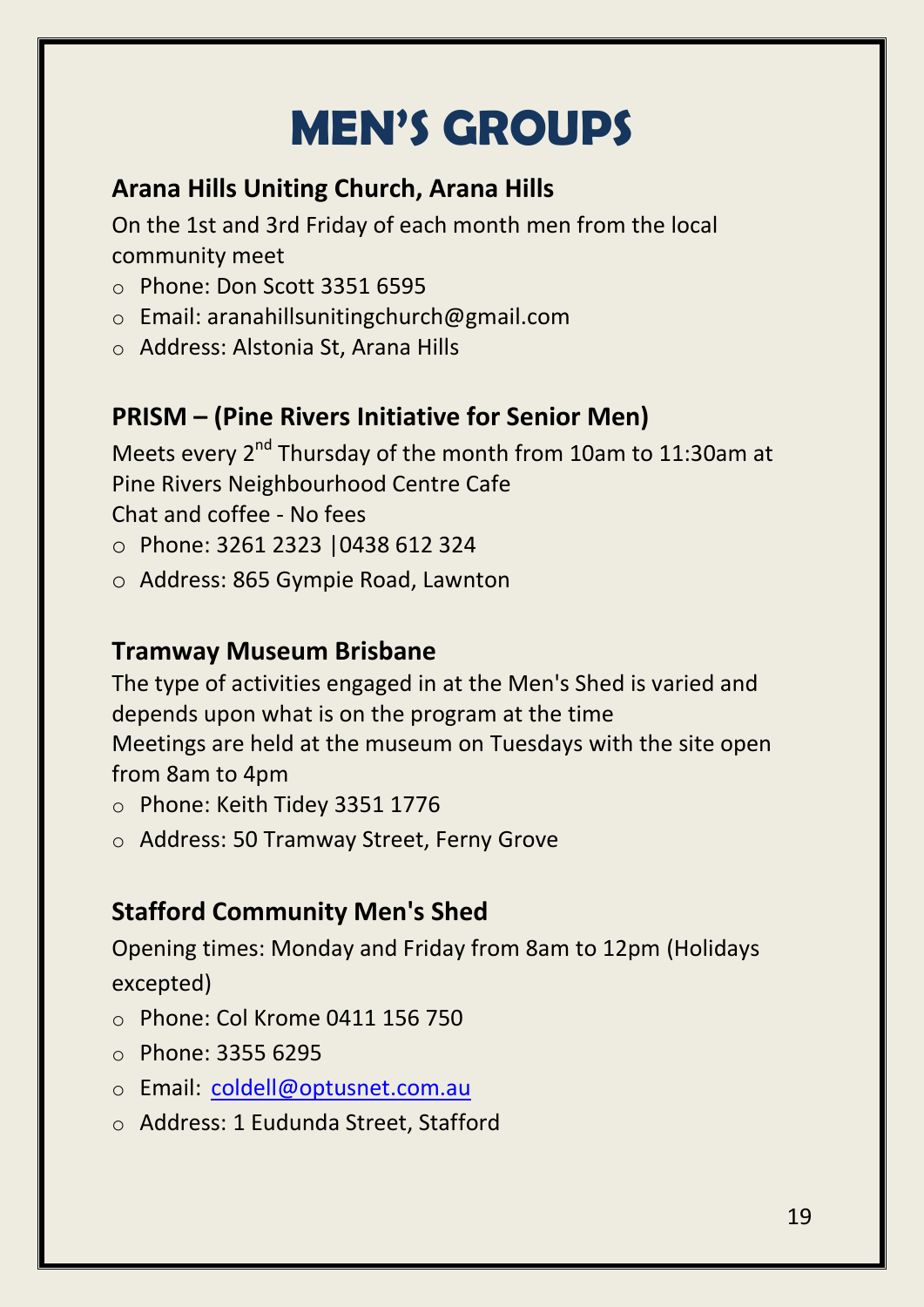# **MEN'S GROUPS**

### **Arana Hills Uniting Church, Arana Hills**

On the 1st and 3rd Friday of each month men from the local community meet

- o Phone: Don Scott 3351 6595
- o Email: aranahillsunitingchurch@gmail.com
- o Address: Alstonia St, Arana Hills

### **PRISM – (Pine Rivers Initiative for Senior Men)**

Meets every 2<sup>nd</sup> Thursday of the month from 10am to 11:30am at Pine Rivers Neighbourhood Centre Cafe

Chat and coffee - No fees

- o Phone: 3261 2323 |0438 612 324
- o Address: 865 Gympie Road, Lawnton

### **Tramway Museum Brisbane**

The type of activities engaged in at the Men's Shed is varied and depends upon what is on the program at the time Meetings are held at the museum on Tuesdays with the site open from 8am to 4pm

- o Phone: Keith Tidey 3351 1776
- o Address: 50 Tramway Street, Ferny Grove

### **Stafford Community Men's Shed**

Opening times: Monday and Friday from 8am to 12pm (Holidays excepted)

- o Phone: Col Krome 0411 156 750
- o Phone: 3355 6295
- o Email: [coldell@optusnet.com.au](mailto:coldell@optusnet.com.au)
- o Address: 1 Eudunda Street, Stafford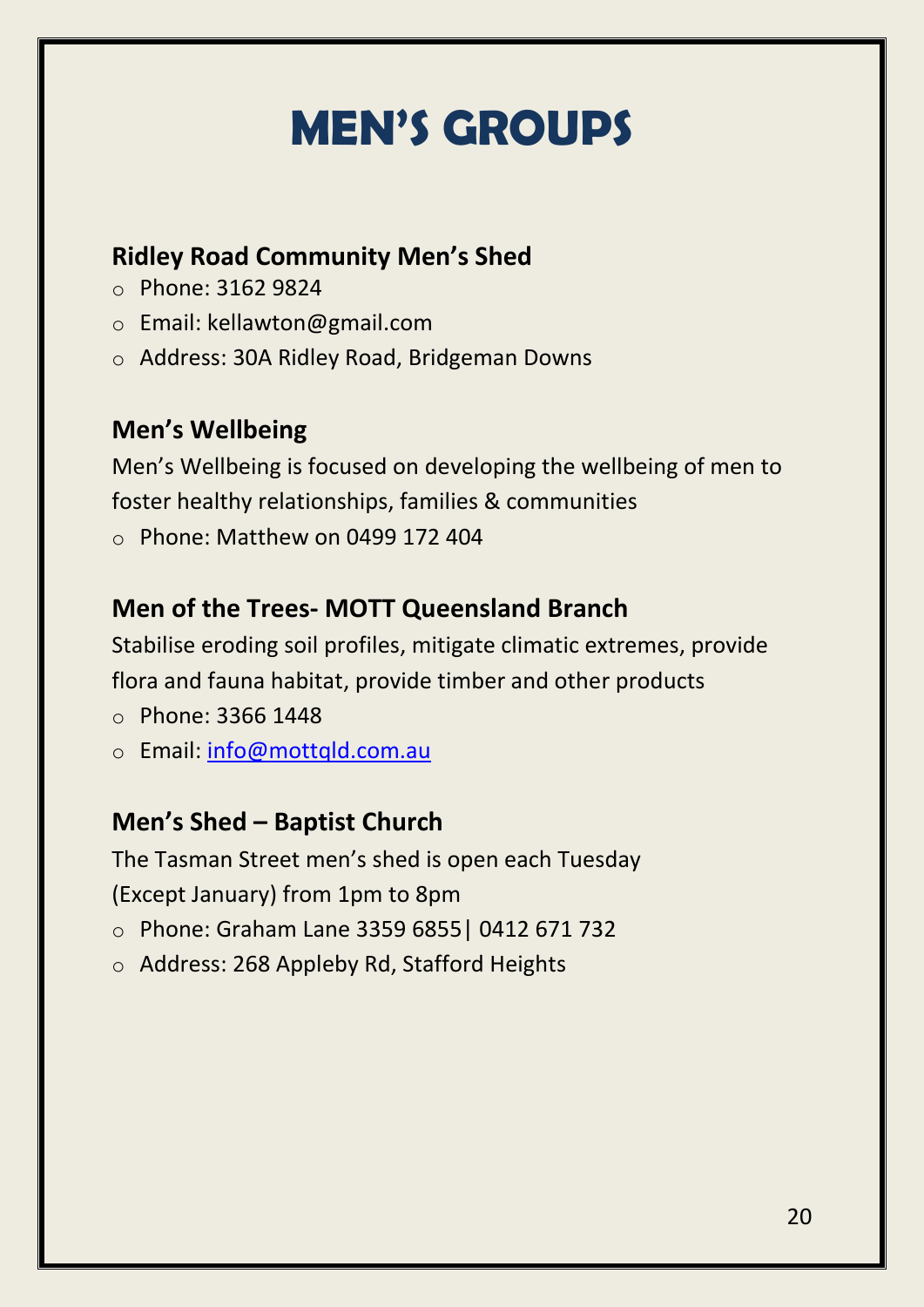# **MEN'S GROUPS**

### **Ridley Road Community Men's Shed**

- o Phone: 3162 9824
- o Email: kellawton@gmail.com
- o Address: 30A Ridley Road, Bridgeman Downs

### **M[en's Wellbeing](http://menswellbeing.org/)**

Men's Wellbeing is focused on developing the wellbeing of men to foster healthy relationships, families & communities  $\circ$  Phone: Matthew on 0499 172 404

### **Men of the Trees- MOTT Queensland Branch**

Stabilise eroding soil profiles, mitigate climatic extremes, provide flora and fauna habitat, provide timber and other products

- o Phone: 3366 1448
- o Email: [info@mottqld.com.au](mailto:info@mottqld.com.au)

### **Men's Shed – Baptist Church**

The Tasman Street men's shed is open each Tuesday (Except January) from 1pm to 8pm

- o Phone: Graham Lane 3359 6855| 0412 671 732
- o Address: 268 Appleby Rd, Stafford Heights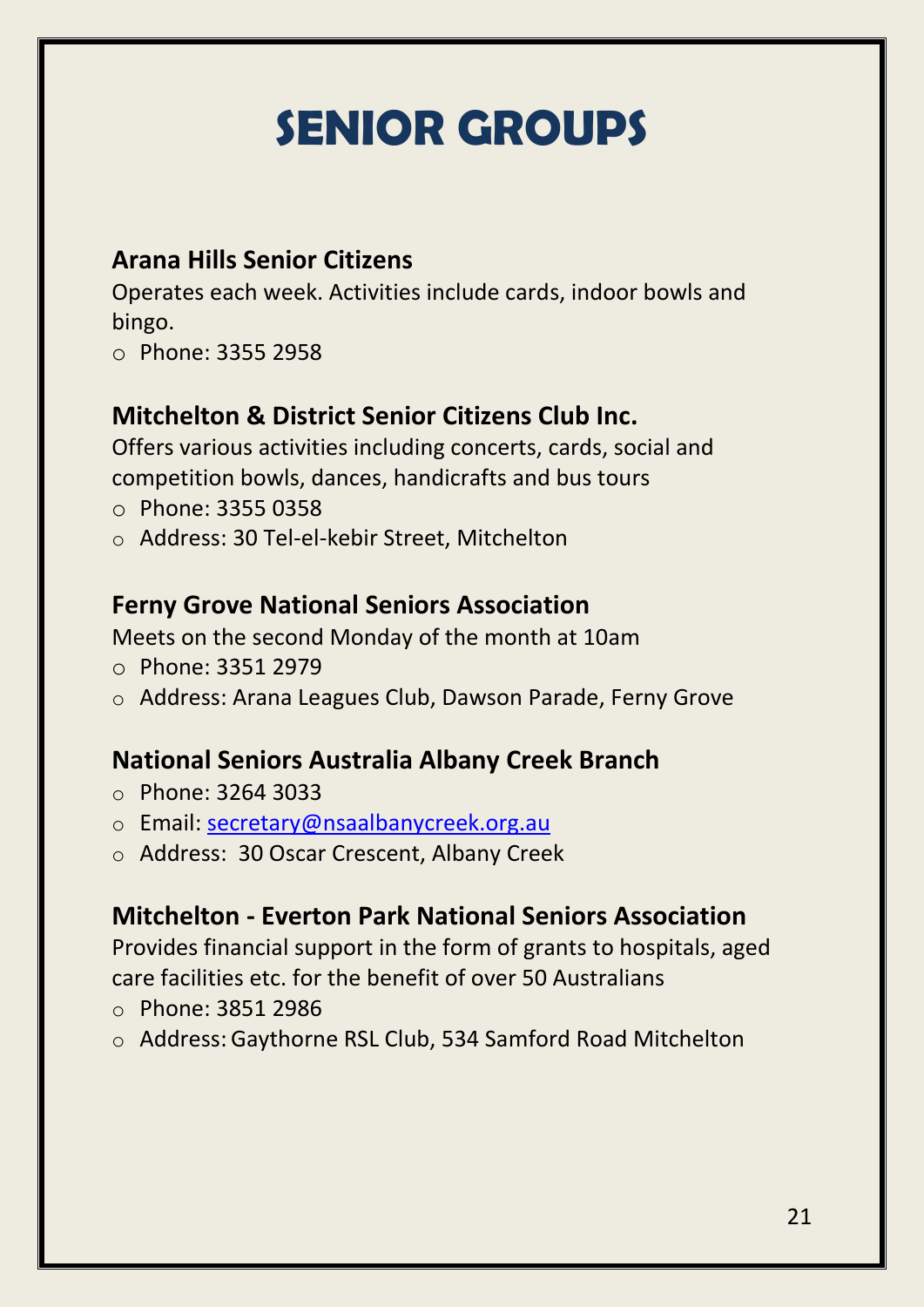# **SENIOR GROUPS**

### **Arana Hills Senior Citizens**

Operates each week. Activities include cards, indoor bowls and bingo.

o Phone: 3355 2958

### **Mitchelton & District Senior Citizens Club Inc.**

Offers various activities including concerts, cards, social and competition bowls, dances, handicrafts and bus tours

- o Phone: [3355 0358](tel:0733550358)
- o Address: [30 Tel-el-kebir Street, Mitchelton](http://maps.google.com/?q=30+Tel-el-kabir+Street%2c+Mitchelton+QLD+4053)

### **Ferny Grove National Seniors Association**

Meets on the second Monday of the month at 10am

- o Phone: 3351 2979
- o Address: Arana Leagues Club, Dawson Parade, Ferny Grove

### **National Seniors Australia Albany Creek Branch**

- o Phone: [3264 3033](tel:0732643033)
- o Email: [secretary@nsaalbanycreek.org.au](mailto:secretary@nsaalbanycreek.org.au)
- o Address: [30 Oscar Crescent, Albany Creek](http://maps.google.com.au/?q=30+Oscar+Crescent%2c+Albany+Creek+QLD+4035)

### **Mitchelton - Everton Park National Seniors Association**

Provides financial support in the form of grants to hospitals, aged care facilities etc. for the benefit of over 50 Australians

- o Phone: [3851 2986](tel:0738512986)
- o Address: [Gaythorne RSL Club, 534 Samford Road Mitchelton](http://maps.google.com/?q=534+Samford+RoadMitchelton+QLD+4053)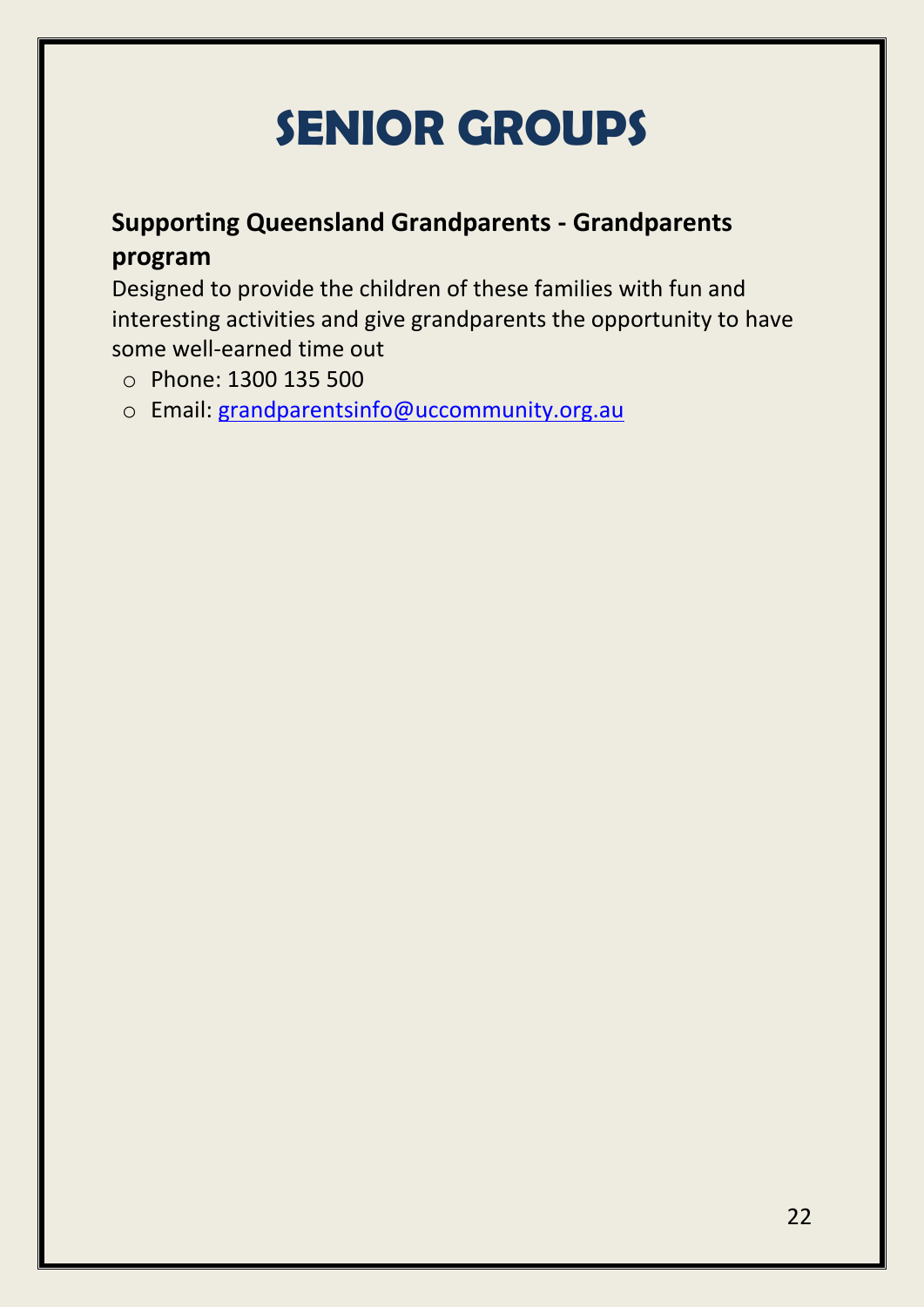# **SENIOR GROUPS**

### **Supporting Queensland Grandparents - Grandparents program**

Designed to provide the children of these families with fun and interesting activities and give grandparents the opportunity to have some well-earned time out

- o Phone: 1300 135 500
- o Email: [grandparentsinfo@uccommunity.org.au](mailto:grandparentsinfo@uccommunity.org.au)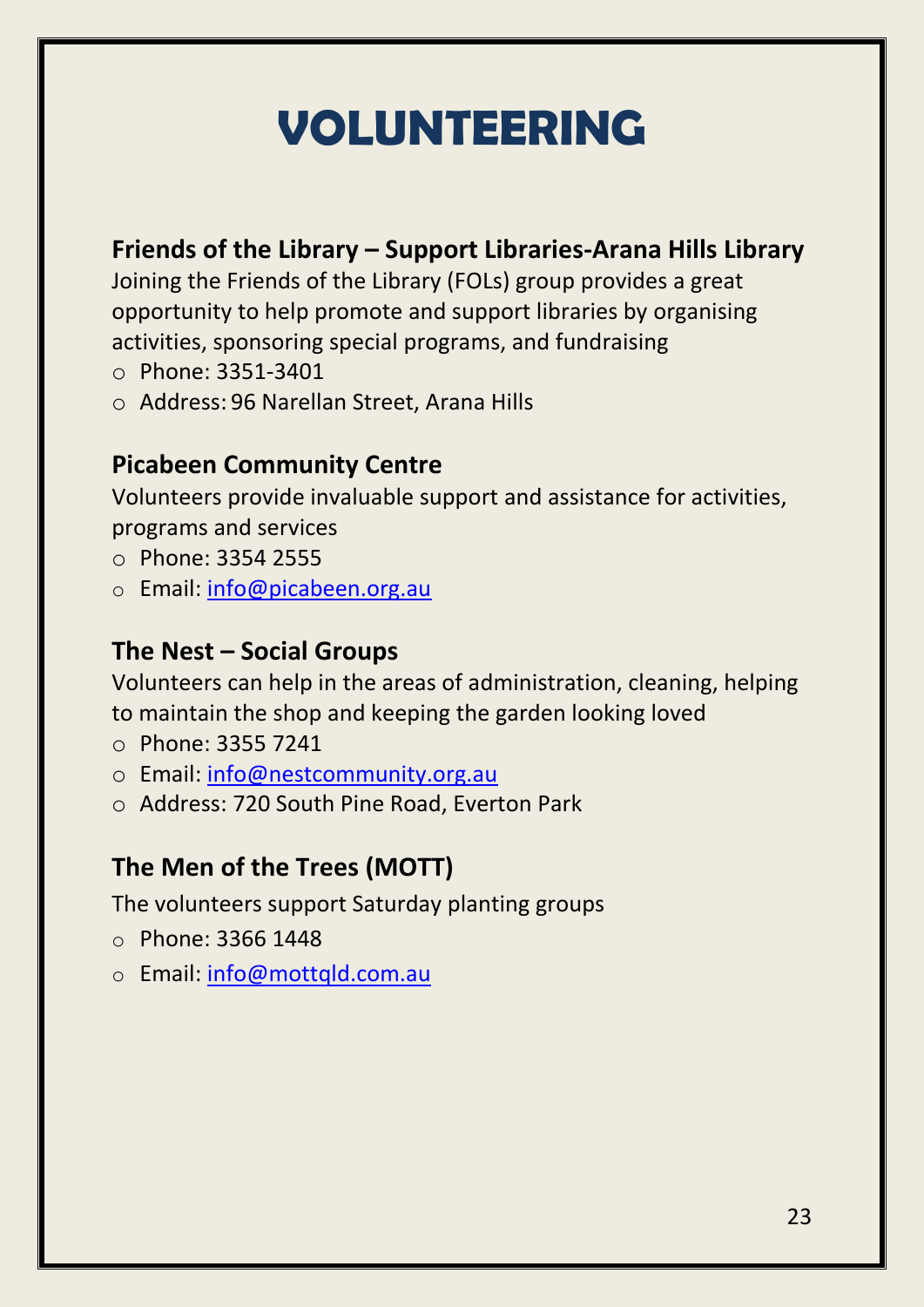# **VOLUNTEERING**

### **Friends of the Library – Support Libraries-Arana Hills Library**

Joining the Friends of the Library (FOLs) group provides a great opportunity to help promote and support libraries by organising activities, sponsoring special programs, and fundraising

- o Phone: 3351-3401
- o Address: 96 Narellan Street, Arana Hills

### **Picabeen Community Centre**

Volunteers provide invaluable support and assistance for activities, programs and services

- o Phone: 3354 2555
- o Email: [info@picabeen.org.au](mailto:info@picabeen.org.au)

### **The Nest – Social Groups**

Volunteers can help in the areas of administration, cleaning, helping to maintain the shop and keeping the garden looking loved

- o Phone: 3355 7241
- o Email: [info@nestcommunity.org.au](mailto:info@nestcommunity.org.au)
- o Address: 720 South Pine Road, Everton Park

### **The Men of the Trees (MOTT)**

The volunteers support Saturday planting groups

- o Phone: 3366 1448
- o Email: [info@mottqld.com.au](mailto:info@mottqld.com.au)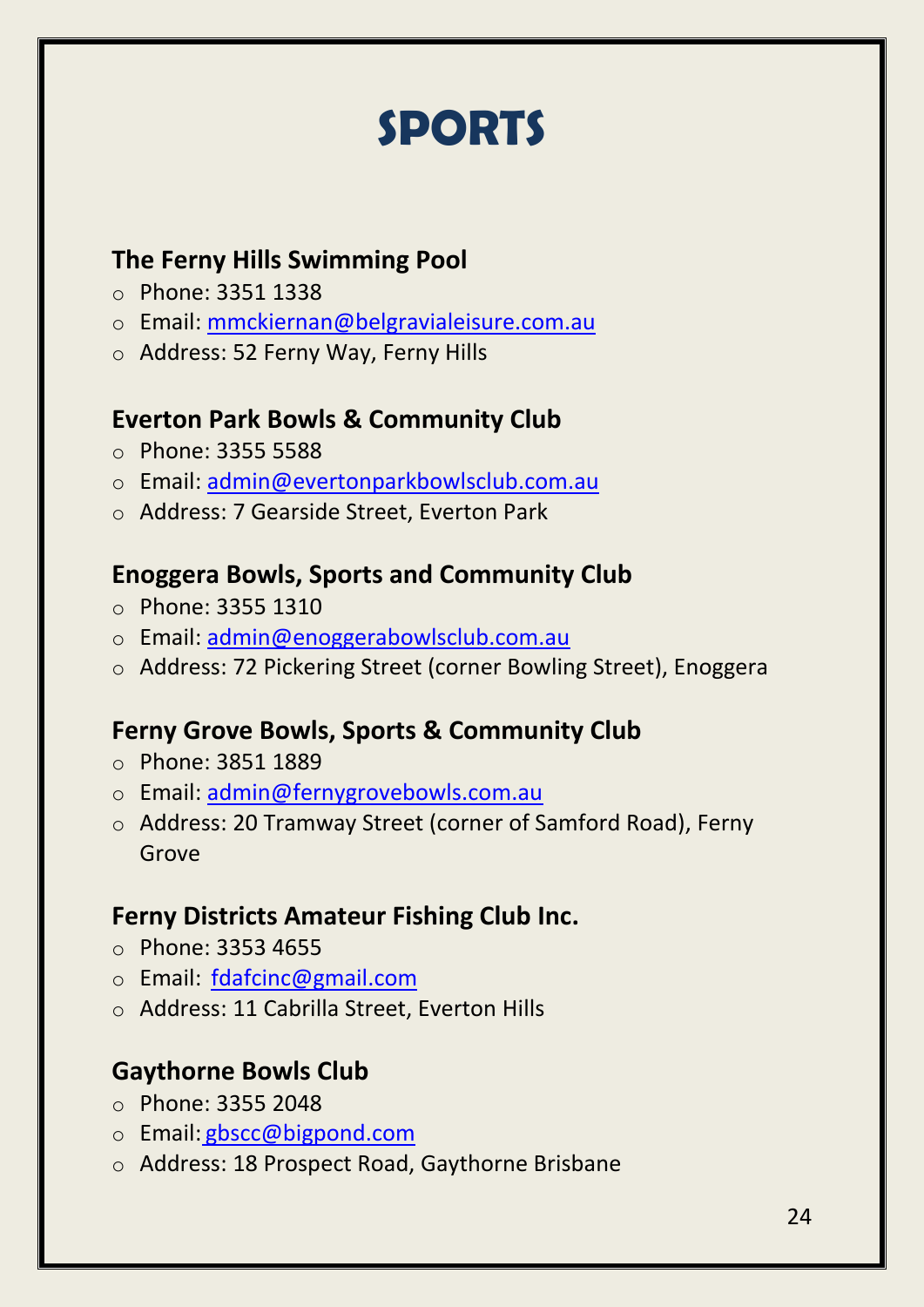### **SPORTS**

### **The Ferny Hills Swimming Pool**

- o Phone: 3351 1338
- o Email: [mmckiernan@belgravialeisure.com.au](mailto:mmckiernan@belgravialeisure.com.au)
- o Address: 52 Ferny Way, Ferny Hills

### **Everton Park Bowls & Community Club**

- o Phone: 3355 5588
- o Email: [admin@evertonparkbowlsclub.com.au](mailto:admin@evertonparkbowlsclub.com.au)
- o Address: 7 Gearside Street, Everton Park

### **Enoggera Bowls, Sports and Community Club**

- o Phone: 3355 1310
- o Email: [admin@enoggerabowlsclub.com.au](mailto:admin@enoggerabowlsclub.com.au)
- o Address: 72 Pickering Street (corner Bowling Street), Enoggera

### **Ferny Grove Bowls, Sports & Community Club**

- o Phone: 3851 1889
- o Email: [admin@fernygrovebowls.com.au](mailto:admin@fernygrovebowls.com.au)
- o Address: 20 Tramway Street (corner of Samford Road), Ferny Grove

### **Ferny Districts Amateur Fishing Club Inc.**

- o Phone: 3353 4655
- o Email: [fdafcinc@gmail.com](mailto:fdafcinc@gmail.com)
- o Address: 11 Cabrilla Street, Everton Hills

### **Gaythorne Bowls Club**

- o Phone: 3355 2048
- o Email: [gbscc@bigpond.com](mailto:gbscc@bigpond.com)
- o Address: 18 Prospect Road, Gaythorne Brisbane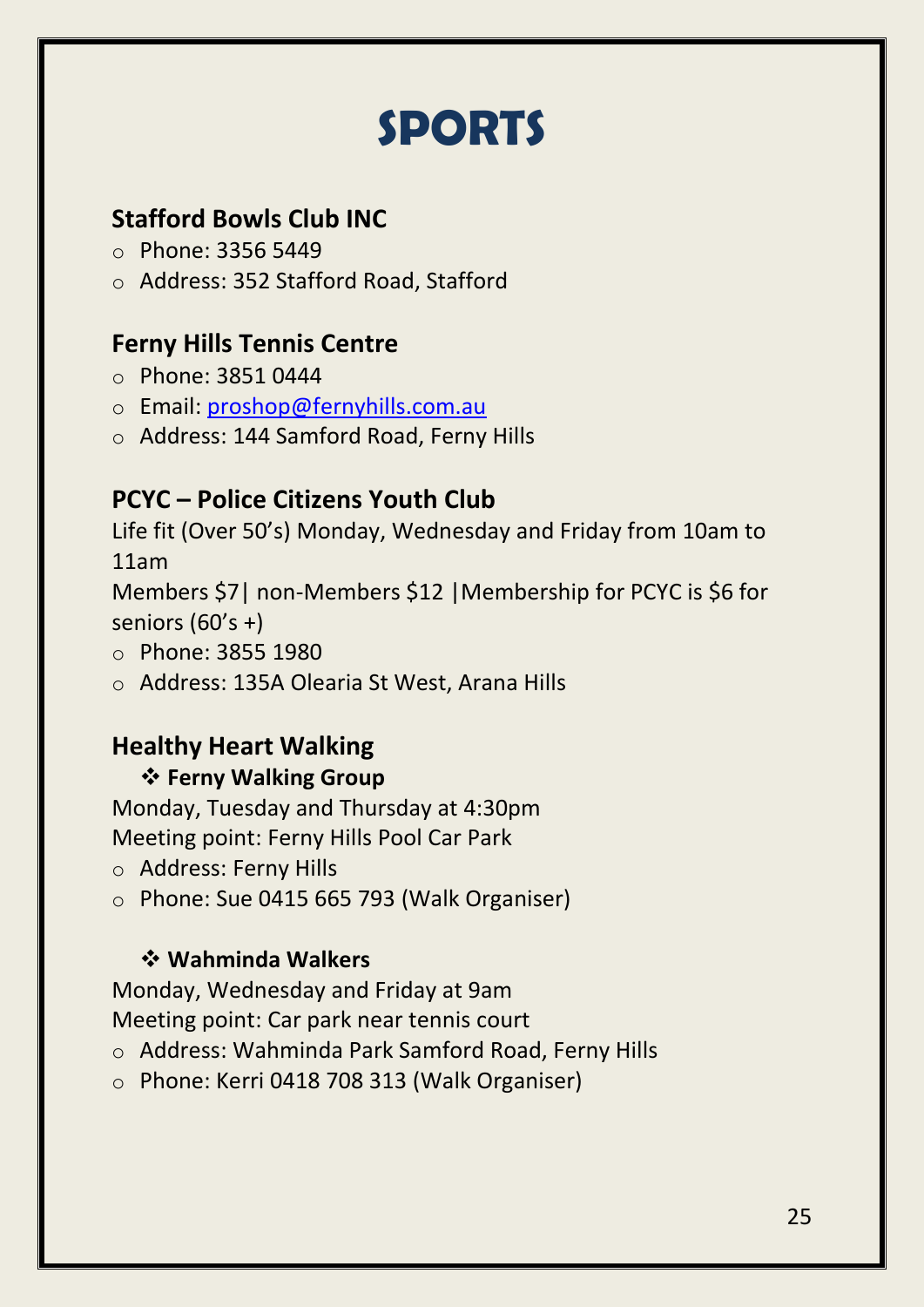### **SPORTS**

### **Stafford Bowls Club INC**

- o Phone: [3356 5449](tel:0733565449)
- o Address: 352 Stafford Road, Stafford

### **Ferny Hills Tennis Centre**

- o Phone: 3851 0444
- o Email: [proshop@fernyhills.com.au](mailto:proshop@fernyhills.com.au)
- o Address: 144 Samford Road, Ferny Hills

### **PCYC – Police Citizens Youth Club**

Life fit (Over 50's) Monday, Wednesday and Friday from 10am to 11am

Members \$7| non-Members \$12 |Membership for PCYC is \$6 for seniors (60's +)

- o Phone: 3855 1980
- o Address: 135A Olearia St West, Arana Hills

### **Healthy Heart Walking**

### **Ferny Walking Group**

Monday, Tuesday and Thursday at 4:30pm Meeting point: Ferny Hills Pool Car Park

- o Address: Ferny Hills
- o Phone: Sue 0415 665 793 (Walk Organiser)

### **Wahminda Walkers**

Monday, Wednesday and Friday at 9am Meeting point: Car park near tennis court

- o Address: Wahminda Park Samford Road, Ferny Hills
- o Phone: Kerri 0418 708 313 (Walk Organiser)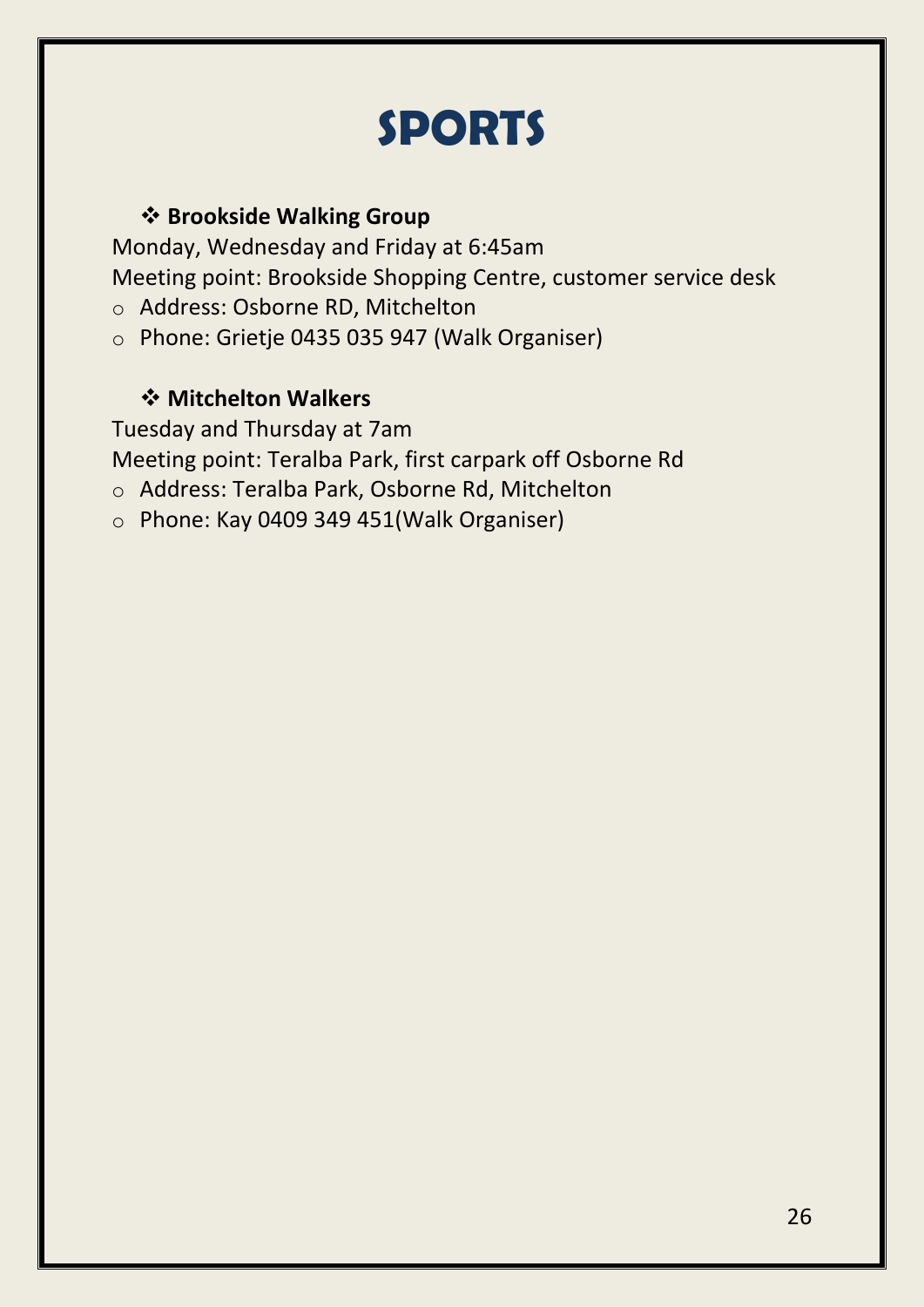### **SPORTS**

### **Brookside Walking Group**

Monday, Wednesday and Friday at 6:45am Meeting point: Brookside Shopping Centre, customer service desk

- o Address: Osborne RD, Mitchelton
- o Phone: Grietje 0435 035 947 (Walk Organiser)

### **Mitchelton Walkers**

Tuesday and Thursday at 7am

Meeting point: Teralba Park, first carpark off Osborne Rd

- o Address: Teralba Park, Osborne Rd, Mitchelton
- o Phone: Kay 0409 349 451(Walk Organiser)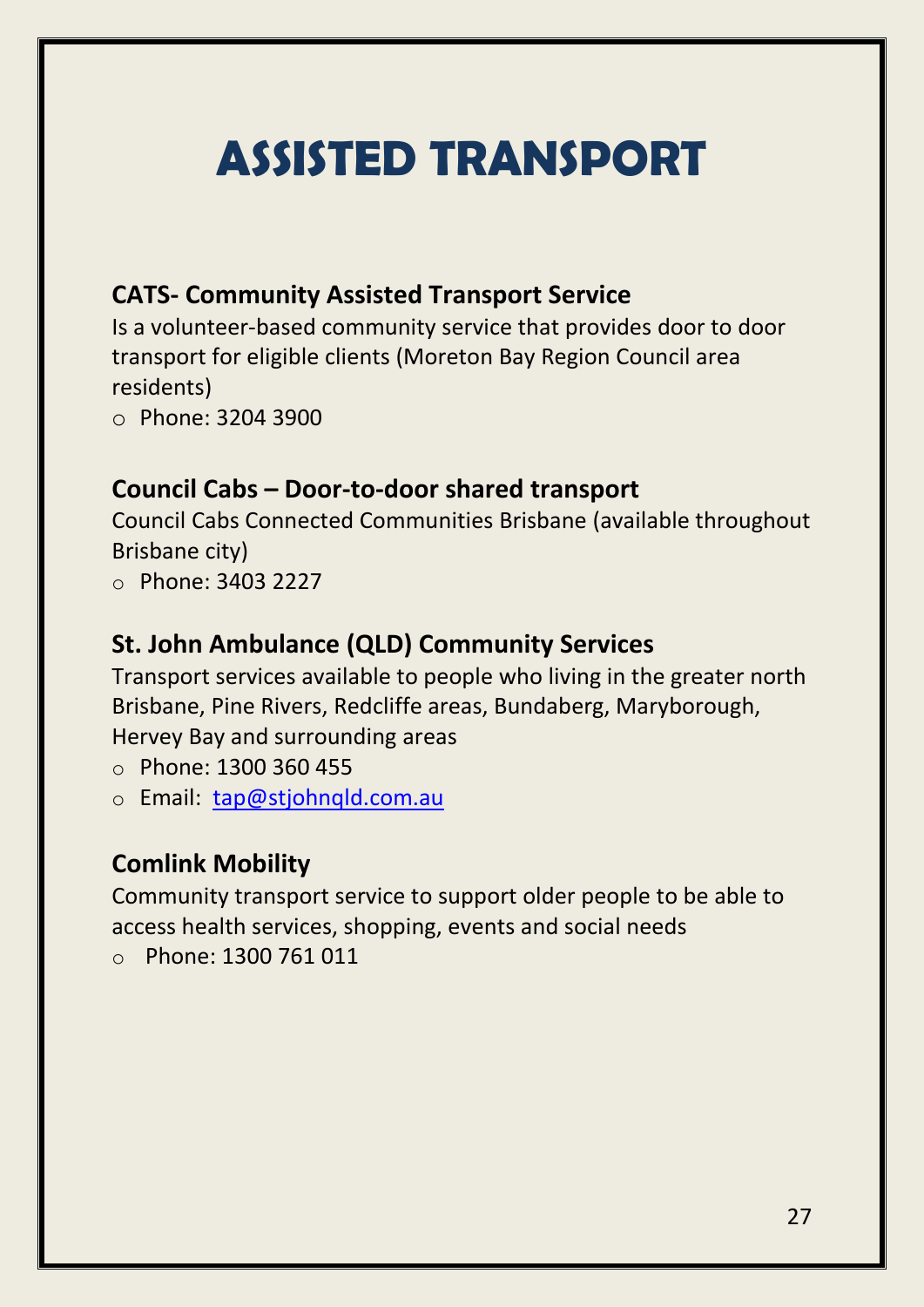# **ASSISTED TRANSPORT**

### **CATS- Community Assisted Transport Service**

Is a volunteer-based community service that provides door to door transport for eligible clients (Moreton Bay Region Council area residents)

o Phone: 3204 3900

### **Council Cabs – Door-to-door shared transport**

Council Cabs Connected Communities Brisbane (available throughout Brisbane city)

o Phone: 3403 2227

### **St. John Ambulance (QLD) Community Services**

Transport services available to people who living in the greater north Brisbane, Pine Rivers, Redcliffe areas, Bundaberg, Maryborough, Hervey Bay and surrounding areas

o Phone: 1300 360 455

o Email: [tap@stjohnqld.com.au](mailto:tap@stjohnqld.com.au)

### **Comlink Mobility**

Community transport service to support older people to be able to access health services, shopping, events and social needs

o Phone: 1300 761 011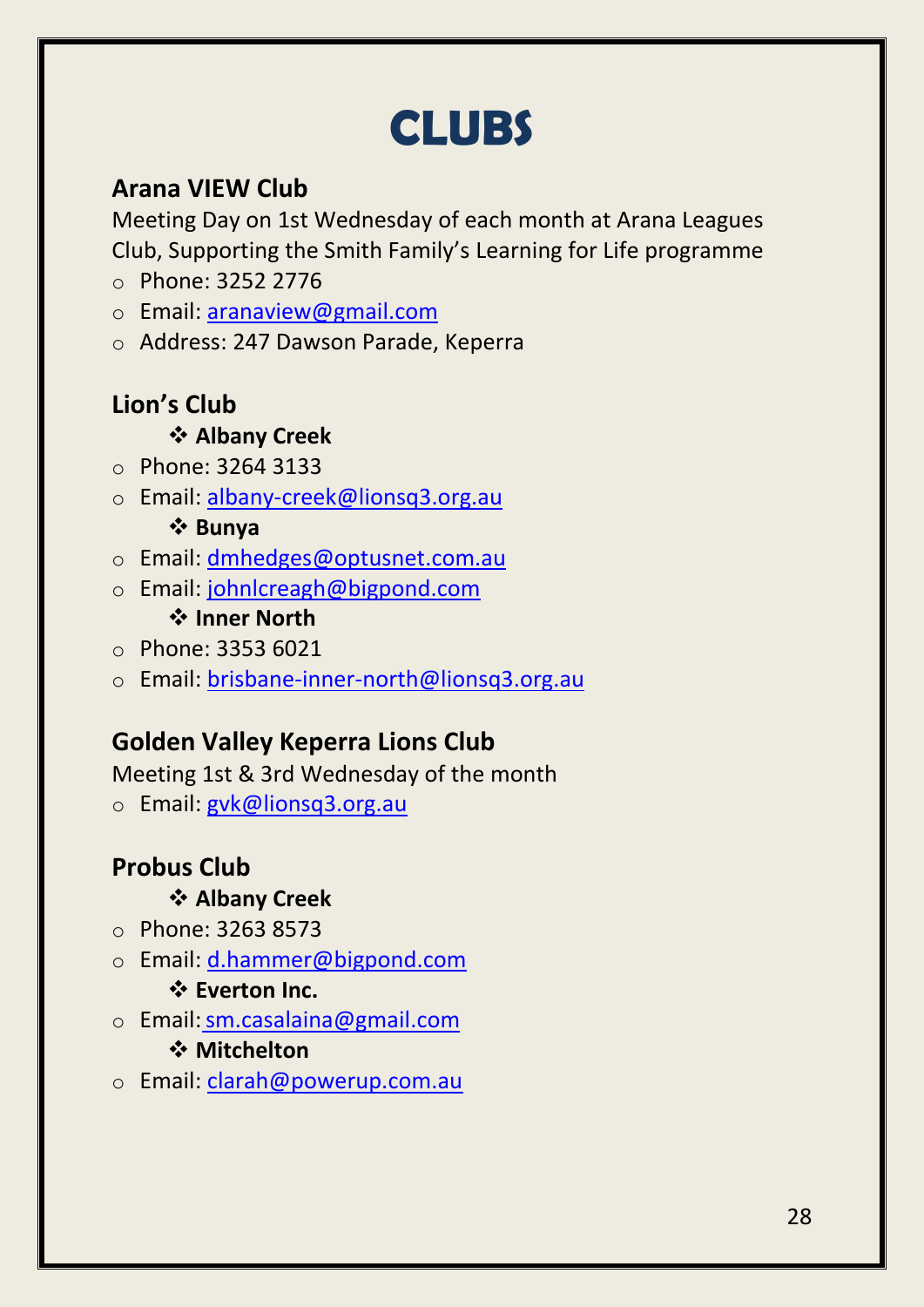### **CLUBS**

### **Arana VIEW Club**

Meeting Day on 1st Wednesday of each month at Arana Leagues Club, Supporting the Smith Family's Learning for Life programme

- o Phone: 3252 2776
- o Email: [aranaview@gmail.com](mailto:aranaview@gmail.com)
- o Address: 247 Dawson Parade, Keperra

### **Lion's Club**

### **Albany Creek**

- o Phone: 3264 3133
- o Email: albany-creek@lionsq3.org.au

### **Bunya**

- o Email: dmhedges@optusnet.com.au
- o Email: johnlcreagh@bigpond.com **Inner North**
- o Phone: 3353 6021
- o Email: brisbane-inner-north@lionsq3.org.au

### **Golden Valley Keperra Lions Club**

Meeting 1st & 3rd Wednesday of the month

o Email: [gvk@lionsq3.org.au](mailto:gvk@lionsq3.org.au)

### **Probus Club**

### **Albany Creek**

- o Phone: 3263 8573
- o Email: d.hammer@bigpond.com

### **Everton Inc.**

o Email:sm.casalaina@gmail.com

### **Mitchelton**

o Email: [clarah@powerup.com.au](mailto:clarah@powerup.com.au)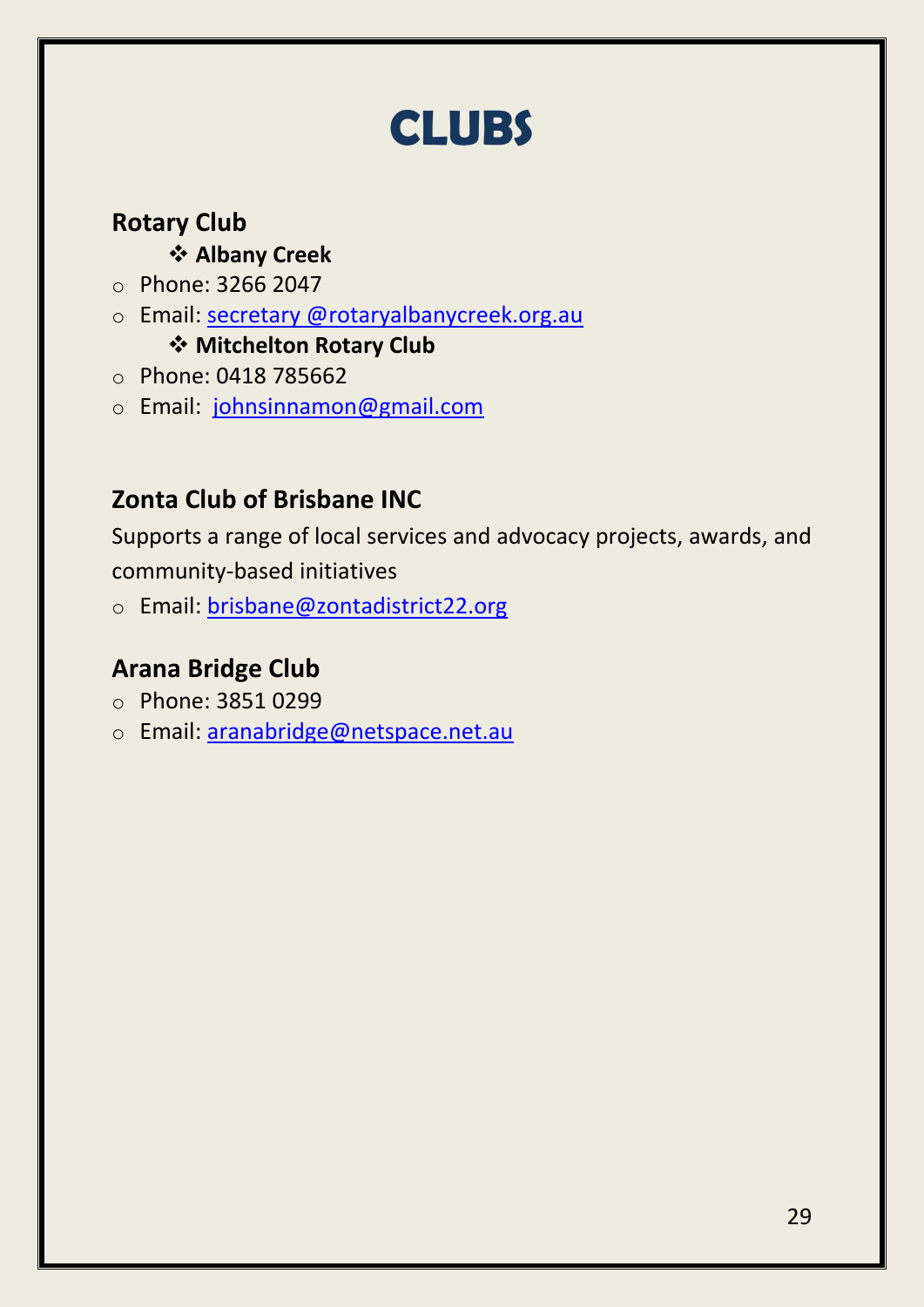### **CLUBS**

### **Rotary Club**

### **Albany Creek**

- o Phone: 3266 2047
- o Email: secretary @rotaryalbanycreek.org.au

### **Mitchelton Rotary Club**

- o Phone: 0418 785662
- o Email: [johnsinnamon@gmail.com](mailto:johnsinnamon@gmail.com)

### **Zonta Club of Brisbane INC**

Supports a range of local services and advocacy projects, awards, and community-based initiatives

o Email: [brisbane@zontadistrict22.org](mailto:brisbane@zontadistrict22.org)

### **Arana Bridge Club**

- o Phone: 3851 0299
- o Email: [aranabridge@netspace.net.au](mailto:aranabridge@netspace.net.au)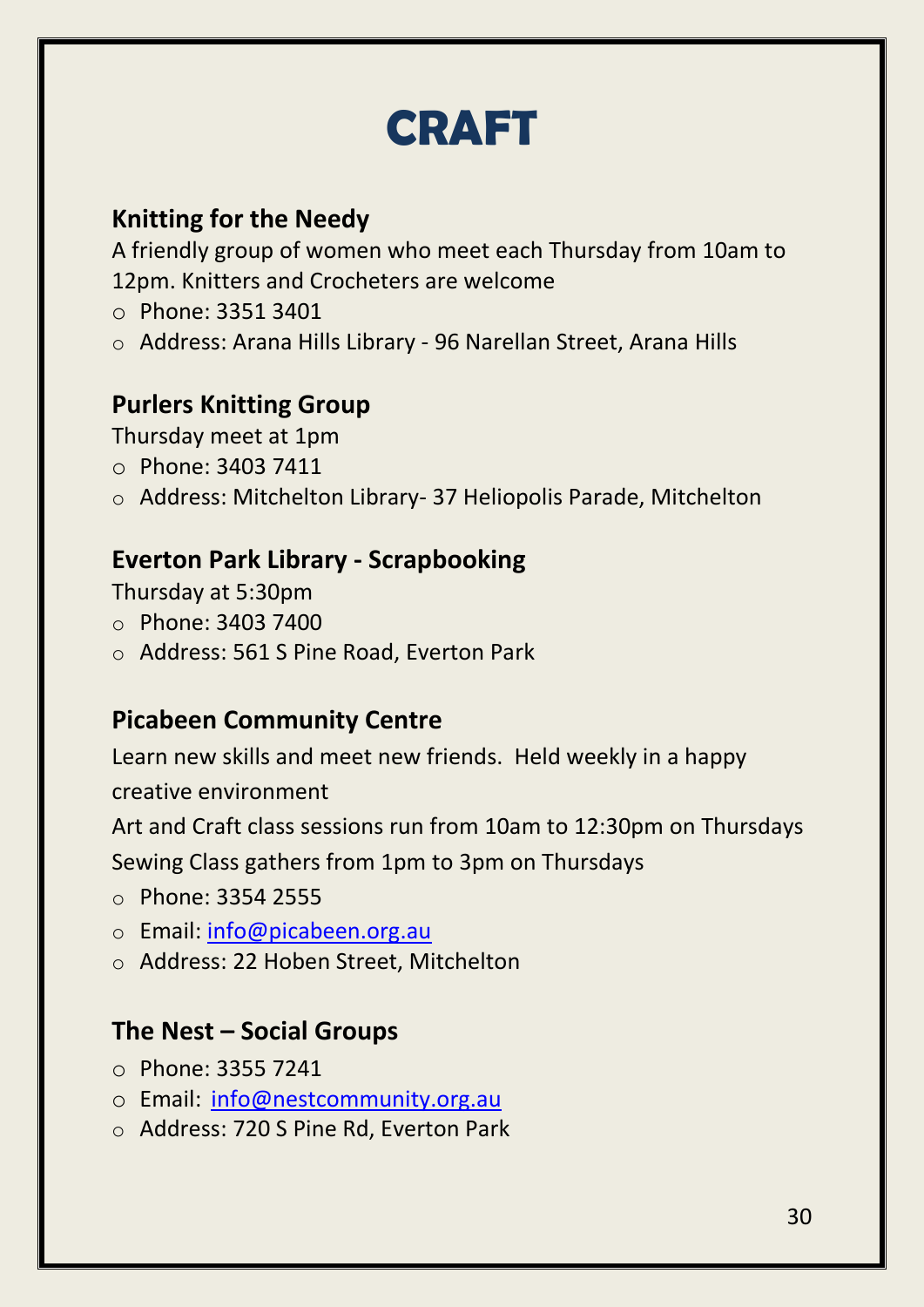### **CRAFT**

### **Knitting for the Needy**

A friendly group of women who meet each Thursday from 10am to 12pm. Knitters and Crocheters are welcome

- o Phone: 3351 3401
- o Address: Arana Hills Library 96 Narellan Street, Arana Hills

### **Purlers Knitting Group**

Thursday meet at 1pm

- o Phone: 3403 7411
- o Address: Mitchelton Library- 37 Heliopolis Parade, Mitchelton

### **Everton Park Library - Scrapbooking**

Thursday at 5:30pm

- $\circ$  Phone: 3403 7400
- o Address: 561 S Pine Road, Everton Park

### **Picabeen Community Centre**

Learn new skills and meet new friends. Held weekly in a happy

creative environment

Art and Craft class sessions run from 10am to 12:30pm on Thursdays

Sewing Class gathers from 1pm to 3pm on Thursdays

- o Phone: 3354 2555
- o Email: [info@picabeen.org.au](mailto:info@picabeen.org.au)
- o Address: 22 Hoben Street, Mitchelton

### **The Nest – Social Groups**

- o Phone: 3355 7241
- o Email: [info@nestcommunity.org.au](mailto:info@nestcommunity.org.au)
- o Address: 720 S Pine Rd, Everton Park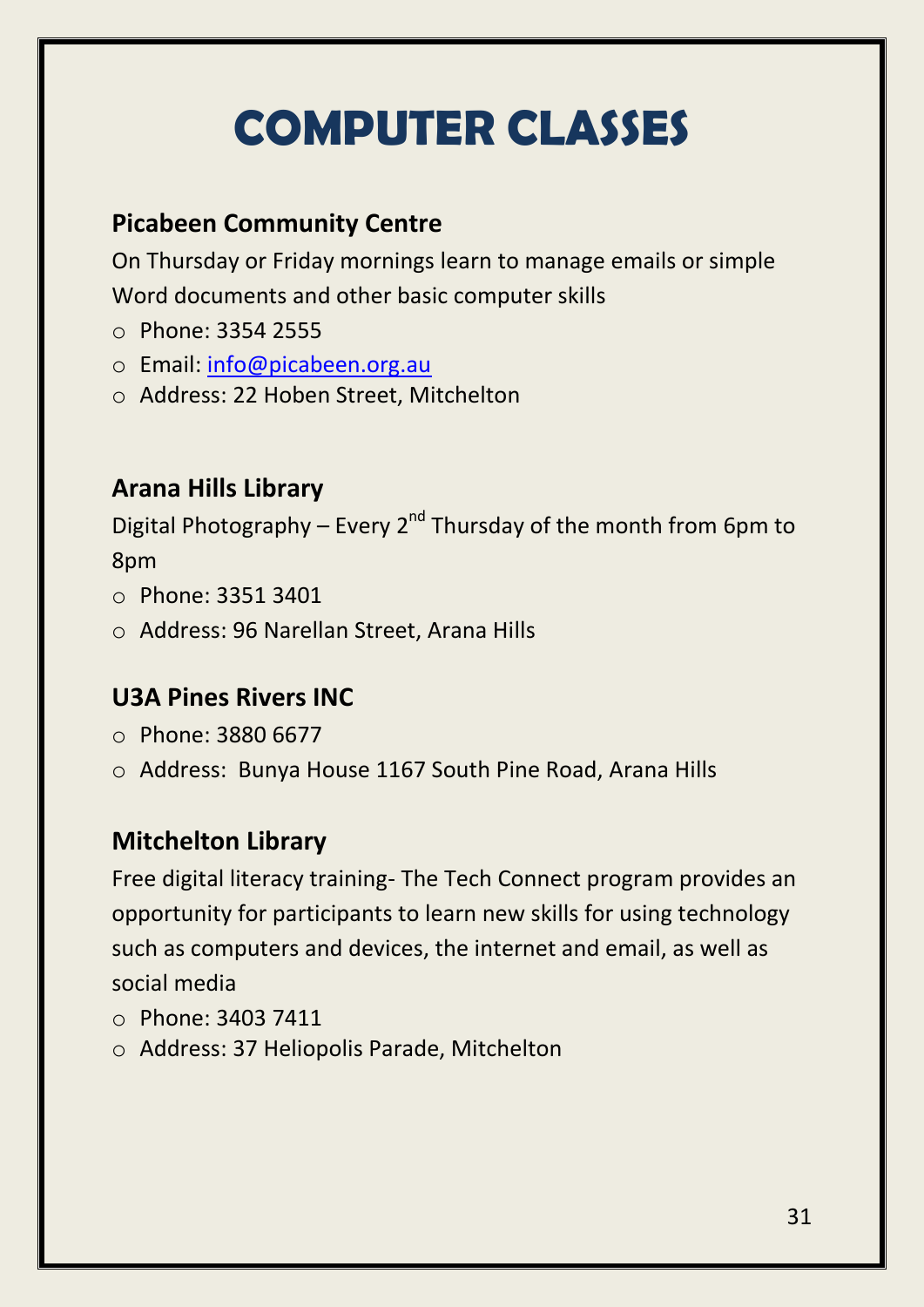# **COMPUTER CLASSES**

### **Picabeen Community Centre**

On Thursday or Friday mornings learn to manage emails or simple Word documents and other basic computer skills

- o Phone: 3354 2555
- o Email: [info@picabeen.org.au](mailto:info@picabeen.org.au)
- o Address: 22 Hoben Street, Mitchelton

### **Arana Hills Library**

Digital Photography – Every  $2^{nd}$  Thursday of the month from 6pm to 8pm

- o Phone: 3351 3401
- o Address: 96 Narellan Street, Arana Hills

### **U3A Pines Rivers INC**

- o Phone: 3880 6677
- o Address: Bunya House 1167 South Pine Road, Arana Hills

### **Mitchelton Library**

Free digital literacy training- The Tech Connect program provides an opportunity for participants to learn new skills for using technology such as computers and devices, the internet and email, as well as social media

- o Phone: 3403 7411
- o Address: 37 Heliopolis Parade, Mitchelton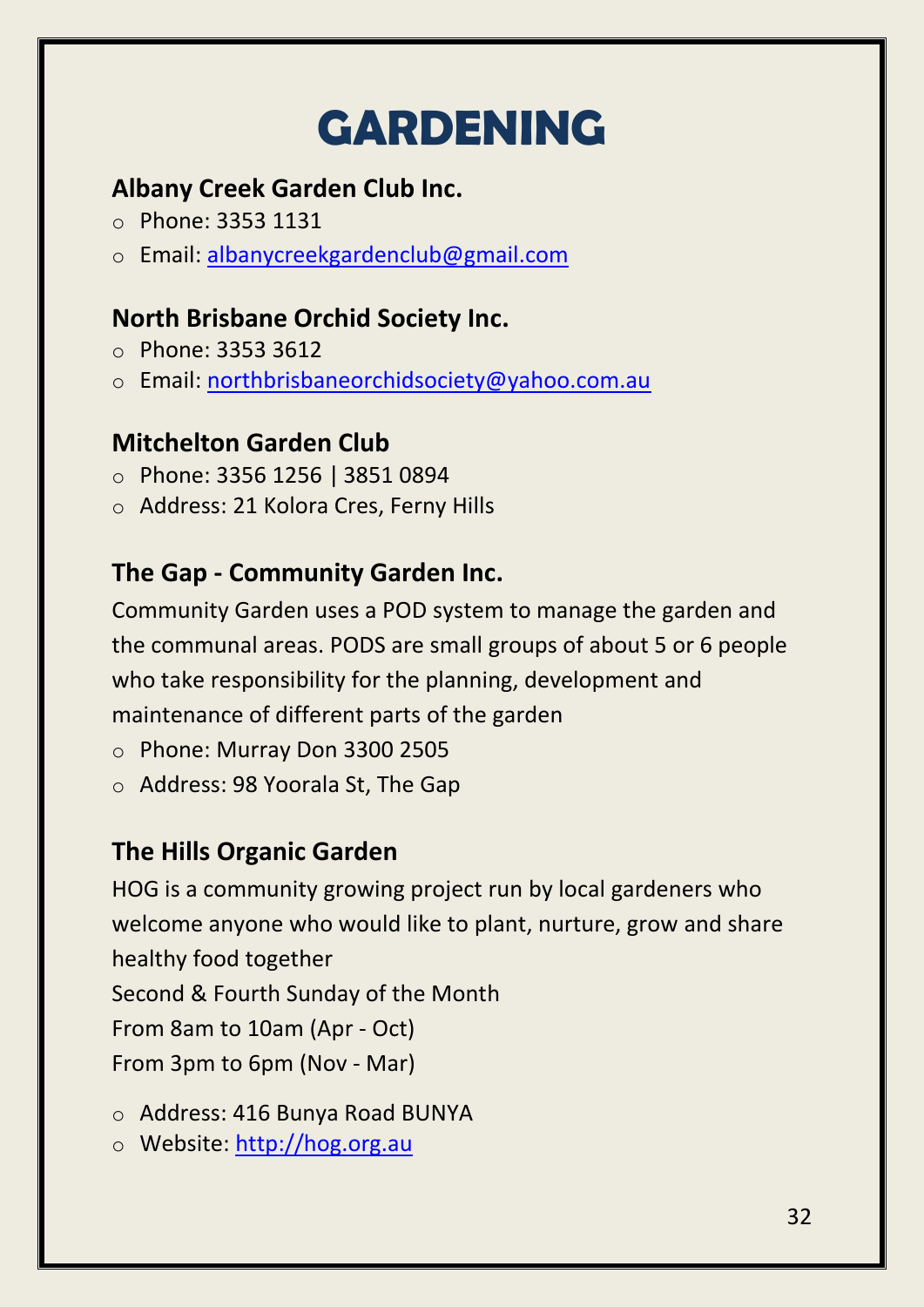# **GARDENING**

### **Albany Creek Garden Club Inc.**

- o Phone: 3353 1131
- o Email: [albanycreekgardenclub@gmail.com](mailto:albanycreekgardenclub@gmail.com)

### **North Brisbane Orchid Society Inc.**

- o Phone: 3353 3612
- o Email: [northbrisbaneorchidsociety@yahoo.com.au](mailto:northbrisbaneorchidsociety@yahoo.com.au)

### **Mitchelton Garden Club**

- o Phone: 3356 1256 | 3851 0894
- o Address: 21 Kolora Cres, Ferny Hills

### **The Gap - Community Garden Inc.**

Community Garden uses a POD system to manage the garden and the communal areas. PODS are small groups of about 5 or 6 people who take responsibility for the planning, development and maintenance of different parts of the garden

- o Phone: Murray Don 3300 2505
- o Address: 98 Yoorala St, The Gap

### **[The Hills Organic Garden](http://hog.org.au/)**

HOG is a community growing project run by local gardeners who welcome anyone who would like to plant, nurture, grow and share healthy food together Second & Fourth Sunday of the Month From 8am to 10am (Apr - Oct) From 3pm to 6pm (Nov - Mar)

- o Address: 416 Bunya Road BUNYA
- o Website: http://hog.org.au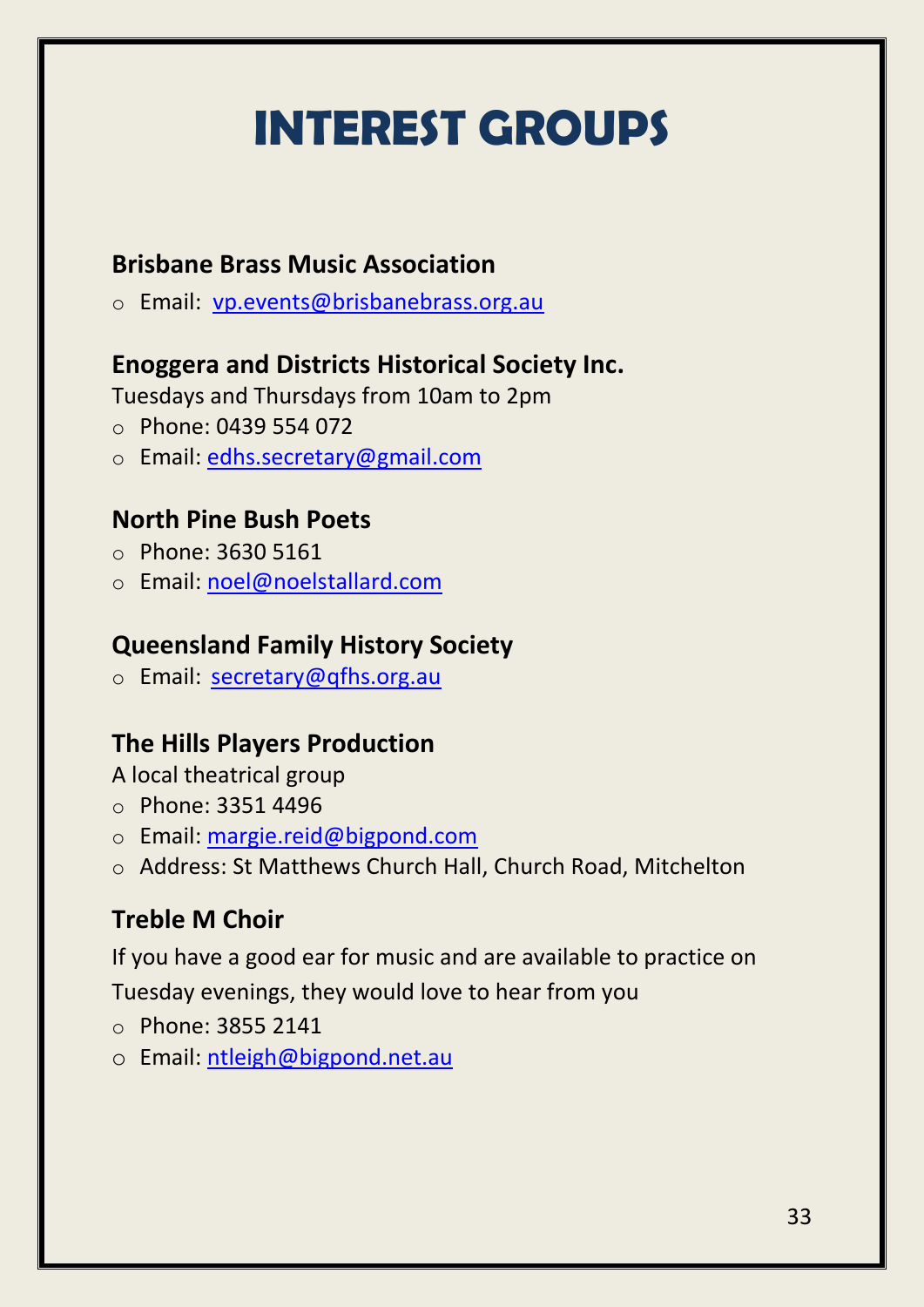# **INTEREST GROUPS**

### **Brisbane Brass Music Association**

o Email: [vp.events@brisbanebrass.org.au](mailto:vp.events@brisbanebrass.org.au)

### **Enoggera and Districts Historical Society Inc.**

Tuesdays and Thursdays from 10am to 2pm

- $O$  Phone: 0439 554 072
- o Email: [edhs.secretary@gmail.com](mailto:edhs.secretary@gmail.com)

### **North Pine Bush Poets**

- o Phone: 3630 5161
- o Email: [noel@noelstallard.com](mailto:noel@noelstallard.com)

### **Queensland Family History Society**

o Email: [secretary@qfhs.org.au](mailto:secretary@qfhs.org.au)

### **The Hills Players Production**

A local theatrical group

- o Phone: 3351 4496
- o Email: [margie.reid@bigpond.com](mailto:margie.reid@bigpond.com)
- o Address: [St Matthews Church Hall, Church Road, Mitchelton](http://www.hillsecho.com/venue/st-matthews-church-hall-church-road-mitchelton/)

### **Treble M Choir**

If you have a good ear for music and are available to practice on Tuesday evenings, they would love to hear from you

- o Phone: 3855 2141
- o Email: [ntleigh@bigpond.net.au](mailto:ntleigh@bigpond.net.au)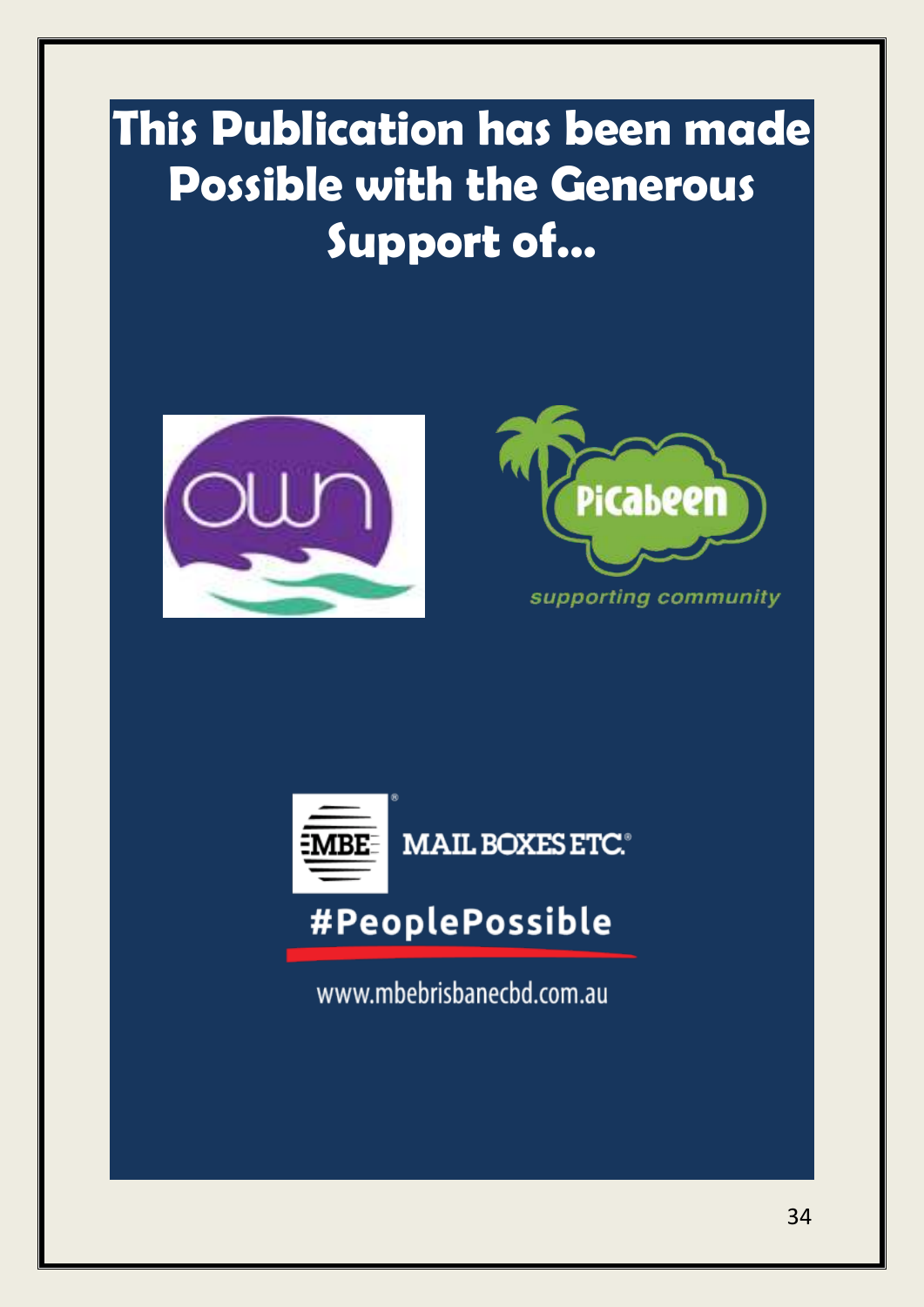### **This Publication has been made Possible with the Generous Support of…**







### #PeoplePossible

www.mbebrisbanecbd.com.au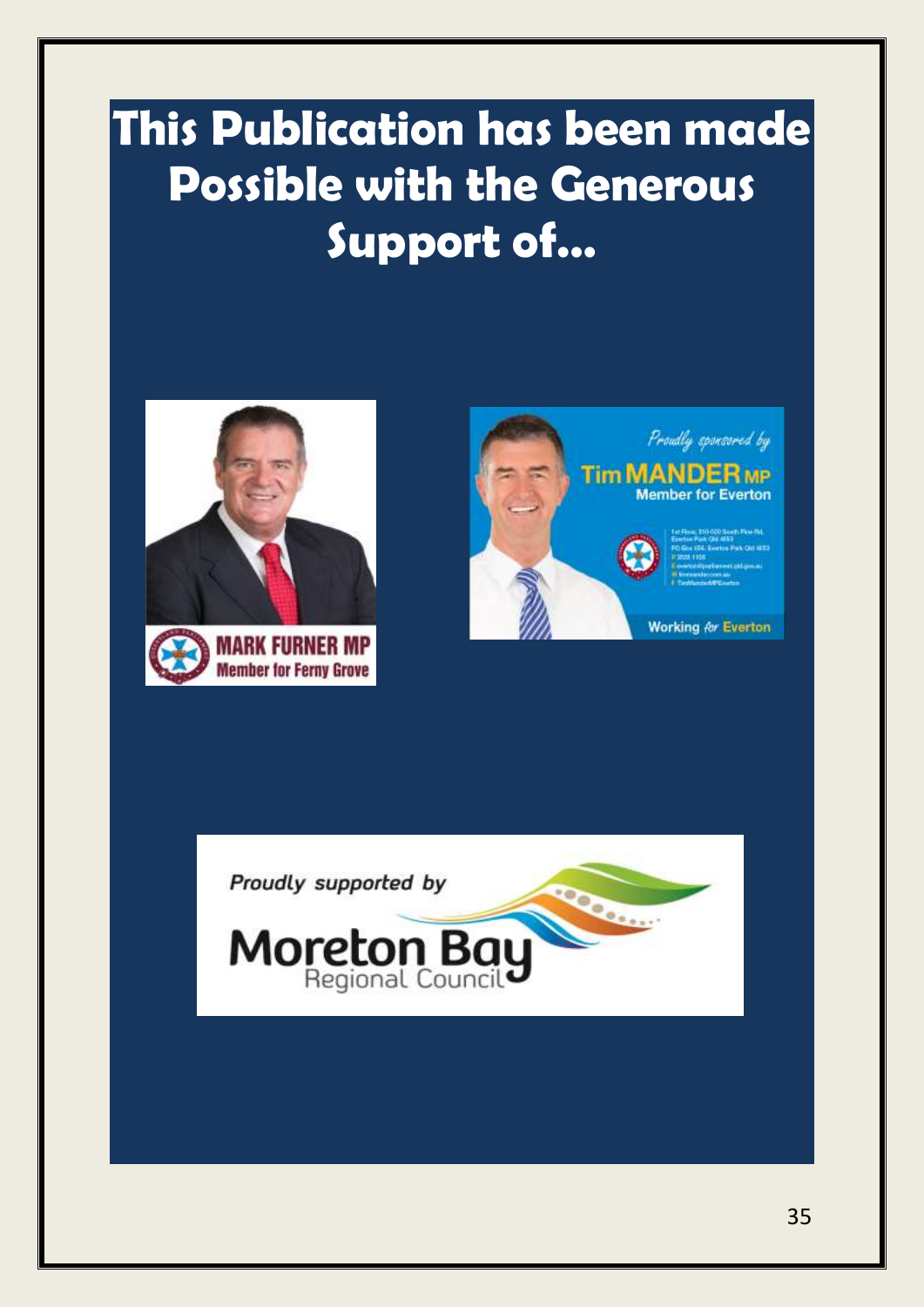### **This Publication has been made Possible with the Generous Support of…**